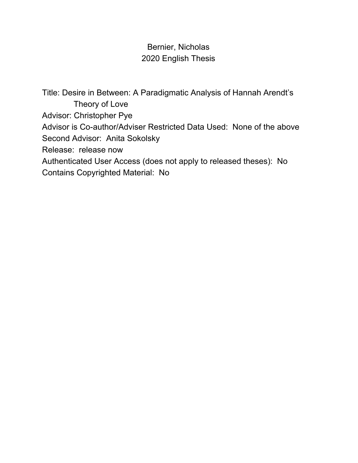# Bernier, Nicholas 2020 English Thesis

Title: Desire in Between: A Paradigmatic Analysis of Hannah Arendt's Theory of Love Advisor: Christopher Pye Advisor is Co-author/Adviser Restricted Data Used: None of the above Second Advisor: Anita Sokolsky Release: release now Authenticated User Access (does not apply to released theses): No Contains Copyrighted Material: No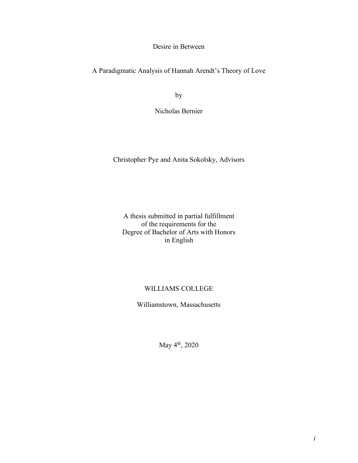Desire in Between

A Paradigmatic Analysis of Hannah Arendt's Theory of Love

by

Nicholas Bernier

Christopher Pye and Anita Sokolsky, Advisors

A thesis submitted in partial fulfillment of the requirements for the Degree of Bachelor of Arts with Honors in English

# WILLIAMS COLLEGE

Williamstown, Massachusetts

May 4th, 2020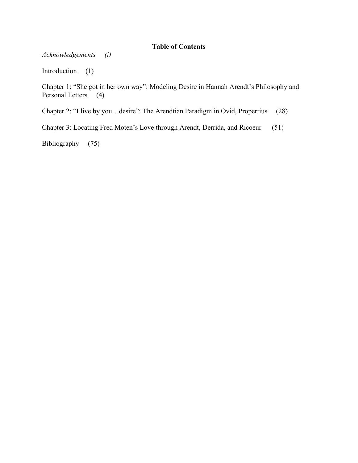# **Table of Contents**

*Acknowledgements (i)*

Introduction (1)

Chapter 1: "She got in her own way": Modeling Desire in Hannah Arendt's Philosophy and Personal Letters (4)

Chapter 2: "I live by you…desire": The Arendtian Paradigm in Ovid, Propertius (28)

Chapter 3: Locating Fred Moten's Love through Arendt, Derrida, and Ricoeur (51)

Bibliography (75)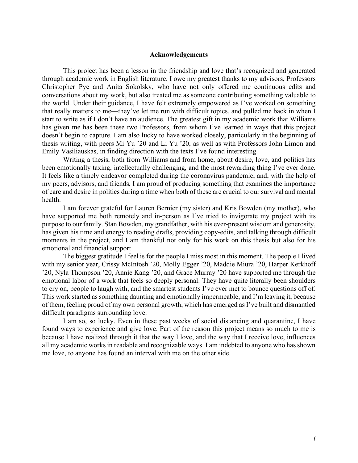### **Acknowledgements**

This project has been a lesson in the friendship and love that's recognized and generated through academic work in English literature. I owe my greatest thanks to my advisors, Professors Christopher Pye and Anita Sokolsky, who have not only offered me continuous edits and conversations about my work, but also treated me as someone contributing something valuable to the world. Under their guidance, I have felt extremely empowered as I've worked on something that really matters to me––they've let me run with difficult topics, and pulled me back in when I start to write as if I don't have an audience. The greatest gift in my academic work that Williams has given me has been these two Professors, from whom I've learned in ways that this project doesn't begin to capture. I am also lucky to have worked closely, particularly in the beginning of thesis writing, with peers Mi Yu '20 and Li Yu '20, as well as with Professors John Limon and Emily Vasiliauskas, in finding direction with the texts I've found interesting.

Writing a thesis, both from Williams and from home, about desire, love, and politics has been emotionally taxing, intellectually challenging, and the most rewarding thing I've ever done. It feels like a timely endeavor completed during the coronavirus pandemic, and, with the help of my peers, advisors, and friends, I am proud of producing something that examines the importance of care and desire in politics during a time when both of these are crucial to our survival and mental health.

I am forever grateful for Lauren Bernier (my sister) and Kris Bowden (my mother), who have supported me both remotely and in-person as I've tried to invigorate my project with its purpose to our family. Stan Bowden, my grandfather, with his ever-present wisdom and generosity, has given his time and energy to reading drafts, providing copy-edits, and talking through difficult moments in the project, and I am thankful not only for his work on this thesis but also for his emotional and financial support.

The biggest gratitude I feel is for the people I miss most in this moment. The people I lived with my senior year, Crissy McIntosh '20, Molly Egger '20, Maddie Miura '20, Harper Kerkhoff '20, Nyla Thompson '20, Annie Kang '20, and Grace Murray '20 have supported me through the emotional labor of a work that feels so deeply personal. They have quite literally been shoulders to cry on, people to laugh with, and the smartest students I've ever met to bounce questions off of. This work started as something daunting and emotionally impermeable, and I'm leaving it, because of them, feeling proud of my own personal growth, which has emerged as I've built and dismantled difficult paradigms surrounding love.

I am so, so lucky. Even in these past weeks of social distancing and quarantine, I have found ways to experience and give love. Part of the reason this project means so much to me is because I have realized through it that the way I love, and the way that I receive love, influences all my academic works in readable and recognizable ways. I am indebted to anyone who has shown me love, to anyone has found an interval with me on the other side.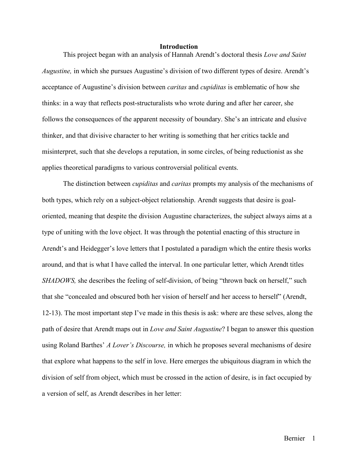#### **Introduction**

This project began with an analysis of Hannah Arendt's doctoral thesis *Love and Saint Augustine,* in which she pursues Augustine's division of two different types of desire. Arendt's acceptance of Augustine's division between *caritas* and *cupiditas* is emblematic of how she thinks: in a way that reflects post-structuralists who wrote during and after her career, she follows the consequences of the apparent necessity of boundary. She's an intricate and elusive thinker, and that divisive character to her writing is something that her critics tackle and misinterpret, such that she develops a reputation, in some circles, of being reductionist as she applies theoretical paradigms to various controversial political events.

The distinction between *cupiditas* and *caritas* prompts my analysis of the mechanisms of both types, which rely on a subject-object relationship. Arendt suggests that desire is goaloriented, meaning that despite the division Augustine characterizes, the subject always aims at a type of uniting with the love object. It was through the potential enacting of this structure in Arendt's and Heidegger's love letters that I postulated a paradigm which the entire thesis works around, and that is what I have called the interval. In one particular letter, which Arendt titles *SHADOWS*, she describes the feeling of self-division, of being "thrown back on herself," such that she "concealed and obscured both her vision of herself and her access to herself" (Arendt, 12-13). The most important step I've made in this thesis is ask: where are these selves, along the path of desire that Arendt maps out in *Love and Saint Augustine*? I began to answer this question using Roland Barthes' *A Lover's Discourse,* in which he proposes several mechanisms of desire that explore what happens to the self in love. Here emerges the ubiquitous diagram in which the division of self from object, which must be crossed in the action of desire, is in fact occupied by a version of self, as Arendt describes in her letter: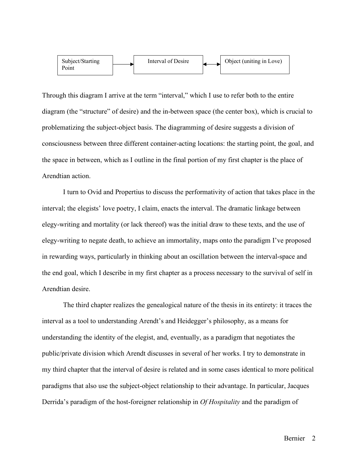

Through this diagram I arrive at the term "interval," which I use to refer both to the entire diagram (the "structure" of desire) and the in-between space (the center box), which is crucial to problematizing the subject-object basis. The diagramming of desire suggests a division of consciousness between three different container-acting locations: the starting point, the goal, and the space in between, which as I outline in the final portion of my first chapter is the place of Arendtian action.

I turn to Ovid and Propertius to discuss the performativity of action that takes place in the interval; the elegists' love poetry, I claim, enacts the interval. The dramatic linkage between elegy-writing and mortality (or lack thereof) was the initial draw to these texts, and the use of elegy-writing to negate death, to achieve an immortality, maps onto the paradigm I've proposed in rewarding ways, particularly in thinking about an oscillation between the interval-space and the end goal, which I describe in my first chapter as a process necessary to the survival of self in Arendtian desire.

The third chapter realizes the genealogical nature of the thesis in its entirety: it traces the interval as a tool to understanding Arendt's and Heidegger's philosophy, as a means for understanding the identity of the elegist, and, eventually, as a paradigm that negotiates the public/private division which Arendt discusses in several of her works. I try to demonstrate in my third chapter that the interval of desire is related and in some cases identical to more political paradigms that also use the subject-object relationship to their advantage. In particular, Jacques Derrida's paradigm of the host-foreigner relationship in *Of Hospitality* and the paradigm of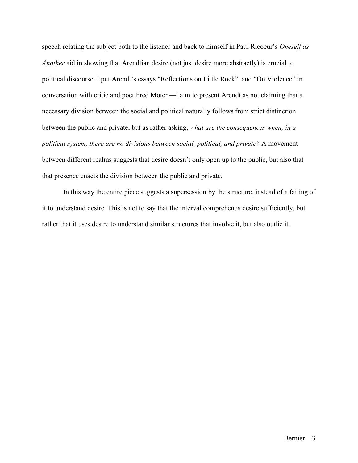speech relating the subject both to the listener and back to himself in Paul Ricoeur's *Oneself as Another* aid in showing that Arendtian desire (not just desire more abstractly) is crucial to political discourse. I put Arendt's essays "Reflections on Little Rock" and "On Violence" in conversation with critic and poet Fred Moten––I aim to present Arendt as not claiming that a necessary division between the social and political naturally follows from strict distinction between the public and private, but as rather asking, *what are the consequences when, in a political system, there are no divisions between social, political, and private?* A movement between different realms suggests that desire doesn't only open up to the public, but also that that presence enacts the division between the public and private.

In this way the entire piece suggests a supersession by the structure, instead of a failing of it to understand desire. This is not to say that the interval comprehends desire sufficiently, but rather that it uses desire to understand similar structures that involve it, but also outlie it.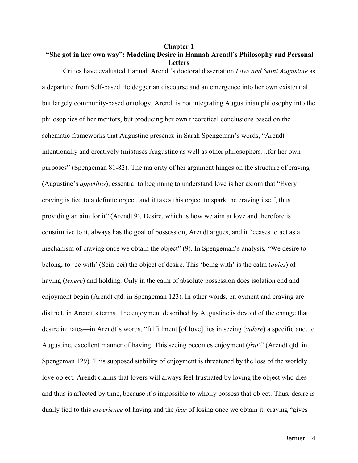# **Chapter 1 "She got in her own way": Modeling Desire in Hannah Arendt's Philosophy and Personal Letters**

Critics have evaluated Hannah Arendt's doctoral dissertation *Love and Saint Augustine* as

a departure from Self-based Heideggerian discourse and an emergence into her own existential but largely community-based ontology. Arendt is not integrating Augustinian philosophy into the philosophies of her mentors, but producing her own theoretical conclusions based on the schematic frameworks that Augustine presents: in Sarah Spengeman's words, "Arendt intentionally and creatively (mis)uses Augustine as well as other philosophers…for her own purposes" (Spengeman 81-82). The majority of her argument hinges on the structure of craving (Augustine's *appetitus*); essential to beginning to understand love is her axiom that "Every craving is tied to a definite object, and it takes this object to spark the craving itself, thus providing an aim for it" (Arendt 9). Desire, which is how we aim at love and therefore is constitutive to it, always has the goal of possession, Arendt argues, and it "ceases to act as a mechanism of craving once we obtain the object" (9). In Spengeman's analysis, "We desire to belong, to 'be with' (Sein-bei) the object of desire. This 'being with' is the calm (*quies*) of having (*tenere*) and holding. Only in the calm of absolute possession does isolation end and enjoyment begin (Arendt qtd. in Spengeman 123). In other words, enjoyment and craving are distinct, in Arendt's terms. The enjoyment described by Augustine is devoid of the change that desire initiates––in Arendt's words, "fulfillment [of love] lies in seeing (*videre*) a specific and, to Augustine, excellent manner of having. This seeing becomes enjoyment (*frui*)" (Arendt qtd. in Spengeman 129). This supposed stability of enjoyment is threatened by the loss of the worldly love object: Arendt claims that lovers will always feel frustrated by loving the object who dies and thus is affected by time, because it's impossible to wholly possess that object. Thus, desire is dually tied to this *experience* of having and the *fear* of losing once we obtain it: craving "gives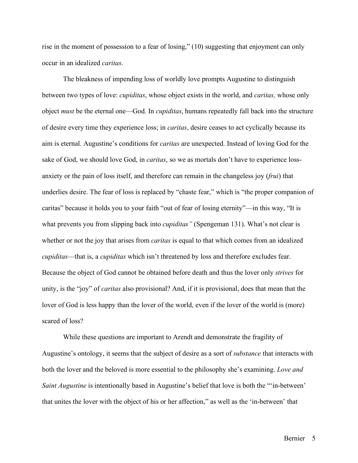rise in the moment of possession to a fear of losing," (10) suggesting that enjoyment can only occur in an idealized *caritas*.

The bleakness of impending loss of worldly love prompts Augustine to distinguish between two types of love: *cupiditas*, whose object exists in the world, and *caritas,* whose only object *must* be the eternal one––God. In *cupiditas*, humans repeatedly fall back into the structure of desire every time they experience loss; in *caritas*, desire ceases to act cyclically because its aim is eternal. Augustine's conditions for *caritas* are unexpected. Instead of loving God for the sake of God, we should love God, in *caritas*, so we as mortals don't have to experience lossanxiety or the pain of loss itself, and therefore can remain in the changeless joy (*frui*) that underlies desire. The fear of loss is replaced by "chaste fear," which is "the proper companion of caritas" because it holds you to your faith "out of fear of losing eternity"––in this way, "It is what prevents you from slipping back into *cupiditas*" (Spengeman 131). What's not clear is whether or not the joy that arises from *caritas* is equal to that which comes from an idealized *cupiditas––*that is, a *cupiditas* which isn't threatened by loss and therefore excludes fear. Because the object of God cannot be obtained before death and thus the lover only *strives* for unity, is the "joy" of *caritas* also provisional? And, if it is provisional, does that mean that the lover of God is less happy than the lover of the world, even if the lover of the world is (more) scared of loss?

While these questions are important to Arendt and demonstrate the fragility of Augustine's ontology, it seems that the subject of desire as a sort of *substance* that interacts with both the lover and the beloved is more essential to the philosophy she's examining. *Love and Saint Augustine* is intentionally based in Augustine's belief that love is both the "'in-between' that unites the lover with the object of his or her affection," as well as the 'in-between' that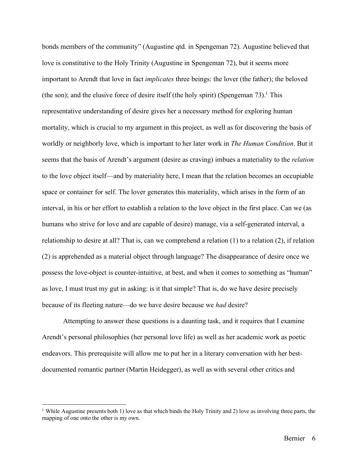bonds members of the community" (Augustine qtd. in Spengeman 72). Augustine believed that love is constitutive to the Holy Trinity (Augustine in Spengeman 72), but it seems more important to Arendt that love in fact *implicates* three beings: the lover (the father); the beloved (the son); and the elusive force of desire itself (the holy spirit) (Spengeman  $73$ ).<sup>1</sup> This representative understanding of desire gives her a necessary method for exploring human mortality, which is crucial to my argument in this project, as well as for discovering the basis of worldly or neighborly love, which is important to her later work in *The Human Condition*. But it seems that the basis of Arendt's argument (desire as craving) imbues a materiality to the *relation* to the love object itself––and by materiality here, I mean that the relation becomes an occupiable space or container for self. The lover generates this materiality, which arises in the form of an interval, in his or her effort to establish a relation to the love object in the first place. Can we (as humans who strive for love and are capable of desire) manage, via a self-generated interval, a relationship to desire at all? That is, can we comprehend a relation (1) to a relation (2), if relation (2) is apprehended as a material object through language? The disappearance of desire once we possess the love-object is counter-intuitive, at best, and when it comes to something as "human" as love, I must trust my gut in asking: is it that simple? That is, do we have desire precisely because of its fleeting nature––do we have desire because we *had* desire?

Attempting to answer these questions is a daunting task, and it requires that I examine Arendt's personal philosophies (her personal love life) as well as her academic work as poetic endeavors. This prerequisite will allow me to put her in a literary conversation with her bestdocumented romantic partner (Martin Heidegger), as well as with several other critics and

<sup>&</sup>lt;sup>1</sup> While Augustine presents both 1) love as that which binds the Holy Trinity and 2) love as involving three parts, the mapping of one onto the other is my own.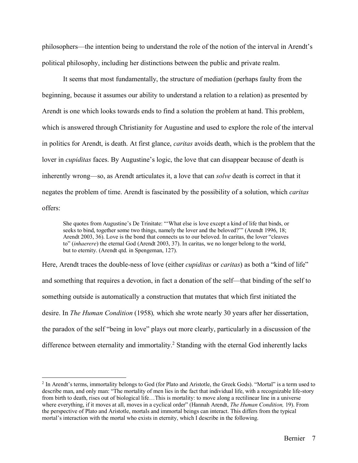philosophers––the intention being to understand the role of the notion of the interval in Arendt's political philosophy, including her distinctions between the public and private realm.

It seems that most fundamentally, the structure of mediation (perhaps faulty from the beginning, because it assumes our ability to understand a relation to a relation) as presented by Arendt is one which looks towards ends to find a solution the problem at hand. This problem, which is answered through Christianity for Augustine and used to explore the role of the interval in politics for Arendt, is death. At first glance, *caritas* avoids death, which is the problem that the lover in *cupiditas* faces. By Augustine's logic, the love that can disappear because of death is inherently wrong––so, as Arendt articulates it, a love that can *solve* death is correct in that it negates the problem of time. Arendt is fascinated by the possibility of a solution, which *caritas*  offers:

She quotes from Augustine's De Trinitate: "'What else is love except a kind of life that binds, or seeks to bind, together some two things, namely the lover and the beloved?'" (Arendt 1996, 18; Arendt 2003, 36). Love is the bond that connects us to our beloved. In caritas, the lover "cleaves to" (*inhaerere*) the eternal God (Arendt 2003, 37). In caritas, we no longer belong to the world, but to eternity. (Arendt qtd. in Spengeman, 127).

Here, Arendt traces the double-ness of love (either *cupiditas* or *caritas*) as both a "kind of life" and something that requires a devotion, in fact a donation of the self––that binding of the self to something outside is automatically a construction that mutates that which first initiated the desire. In *The Human Condition* (1958)*,* which she wrote nearly 30 years after her dissertation, the paradox of the self "being in love" plays out more clearly, particularly in a discussion of the difference between eternality and immortality. <sup>2</sup> Standing with the eternal God inherently lacks

 <sup>2</sup> In Arendt's terms, immortality belongs to God (for Plato and Aristotle, the Greek Gods). "Mortal" is a term used to describe man, and only man: "The mortality of men lies in the fact that individual life, with a recognizable life-story from birth to death, rises out of biological life…This is mortality: to move along a rectilinear line in a universe where everything, if it moves at all, moves in a cyclical order" (Hannah Arendt, *The Human Condition,* 19). From the perspective of Plato and Aristotle, mortals and immortal beings can interact. This differs from the typical mortal's interaction with the mortal who exists in eternity, which I describe in the following.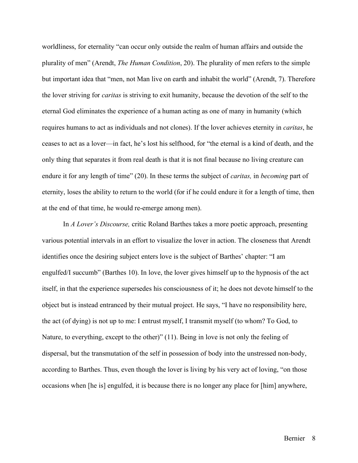worldliness, for eternality "can occur only outside the realm of human affairs and outside the plurality of men" (Arendt, *The Human Condition*, 20). The plurality of men refers to the simple but important idea that "men, not Man live on earth and inhabit the world" (Arendt, 7). Therefore the lover striving for *caritas* is striving to exit humanity, because the devotion of the self to the eternal God eliminates the experience of a human acting as one of many in humanity (which requires humans to act as individuals and not clones). If the lover achieves eternity in *caritas*, he ceases to act as a lover––in fact, he's lost his selfhood, for "the eternal is a kind of death, and the only thing that separates it from real death is that it is not final because no living creature can endure it for any length of time" (20). In these terms the subject of *caritas,* in *becoming* part of eternity, loses the ability to return to the world (for if he could endure it for a length of time, then at the end of that time, he would re-emerge among men).

In *A Lover's Discourse,* critic Roland Barthes takes a more poetic approach, presenting various potential intervals in an effort to visualize the lover in action. The closeness that Arendt identifies once the desiring subject enters love is the subject of Barthes' chapter: "I am engulfed/I succumb" (Barthes 10). In love, the lover gives himself up to the hypnosis of the act itself, in that the experience supersedes his consciousness of it; he does not devote himself to the object but is instead entranced by their mutual project. He says, "I have no responsibility here, the act (of dying) is not up to me: I entrust myself, I transmit myself (to whom? To God, to Nature, to everything, except to the other)" (11). Being in love is not only the feeling of dispersal, but the transmutation of the self in possession of body into the unstressed non-body, according to Barthes. Thus, even though the lover is living by his very act of loving, "on those occasions when [he is] engulfed, it is because there is no longer any place for [him] anywhere,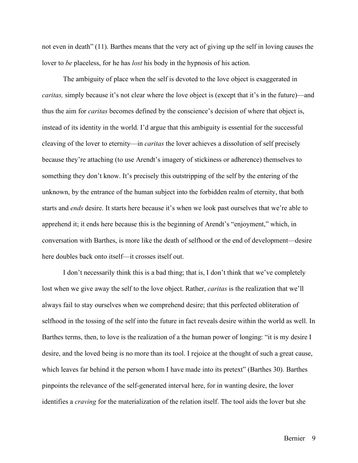not even in death" (11). Barthes means that the very act of giving up the self in loving causes the lover to *be* placeless, for he has *lost* his body in the hypnosis of his action.

The ambiguity of place when the self is devoted to the love object is exaggerated in *caritas,* simply because it's not clear where the love object is (except that it's in the future)—and thus the aim for *caritas* becomes defined by the conscience's decision of where that object is, instead of its identity in the world. I'd argue that this ambiguity is essential for the successful cleaving of the lover to eternity––in *caritas* the lover achieves a dissolution of self precisely because they're attaching (to use Arendt's imagery of stickiness or adherence) themselves to something they don't know. It's precisely this outstripping of the self by the entering of the unknown, by the entrance of the human subject into the forbidden realm of eternity, that both starts and *ends* desire. It starts here because it's when we look past ourselves that we're able to apprehend it; it ends here because this is the beginning of Arendt's "enjoyment," which, in conversation with Barthes, is more like the death of selfhood or the end of development––desire here doubles back onto itself—it crosses itself out.

I don't necessarily think this is a bad thing; that is, I don't think that we've completely lost when we give away the self to the love object. Rather, *caritas* is the realization that we'll always fail to stay ourselves when we comprehend desire; that this perfected obliteration of selfhood in the tossing of the self into the future in fact reveals desire within the world as well. In Barthes terms, then, to love is the realization of a the human power of longing: "it is my desire I desire, and the loved being is no more than its tool. I rejoice at the thought of such a great cause, which leaves far behind it the person whom I have made into its pretext" (Barthes 30). Barthes pinpoints the relevance of the self-generated interval here, for in wanting desire, the lover identifies a *craving* for the materialization of the relation itself. The tool aids the lover but she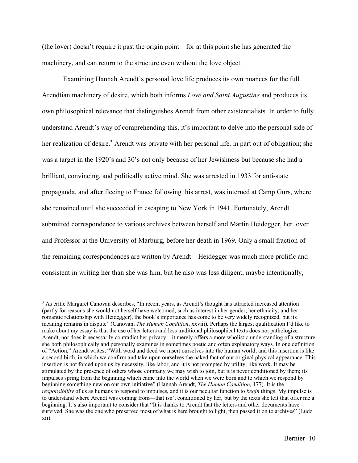(the lover) doesn't require it past the origin point––for at this point she has generated the machinery, and can return to the structure even without the love object.

Examining Hannah Arendt's personal love life produces its own nuances for the full Arendtian machinery of desire, which both informs *Love and Saint Augustine* and produces its own philosophical relevance that distinguishes Arendt from other existentialists. In order to fully understand Arendt's way of comprehending this, it's important to delve into the personal side of her realization of desire.<sup>3</sup> Arendt was private with her personal life, in part out of obligation; she was a target in the 1920's and 30's not only because of her Jewishness but because she had a brilliant, convincing, and politically active mind. She was arrested in 1933 for anti-state propaganda, and after fleeing to France following this arrest, was interned at Camp Gurs, where she remained until she succeeded in escaping to New York in 1941. Fortunately, Arendt submitted correspondence to various archives between herself and Martin Heidegger, her lover and Professor at the University of Marburg, before her death in 1969. Only a small fraction of the remaining correspondences are written by Arendt––Heidegger was much more prolific and consistent in writing her than she was him, but he also was less diligent, maybe intentionally,

<sup>&</sup>lt;sup>3</sup> As critic Margaret Canovan describes, "In recent years, as Arendt's thought has attracted increased attention (partly for reasons she would not herself have welcomed, such as interest in her gender, her ethnicity, and her romantic relationship with Heidegger), the book's importance has come to be very widely recognized, but its meaning remains in dispute" (Canovan, *The Human Condition*, xxviii). Perhaps the largest qualification I'd like to make about my essay is that the use of her letters and less traditional philosophical texts does not pathologize Arendt, nor does it necessarily contradict her privacy––it merely offers a more wholistic understanding of a structure she both philosophically and personally examines in sometimes poetic and often explanatory ways. In one definition of "Action," Arendt writes, "With word and deed we insert ourselves into the human world, and this insertion is like a second birth, in which we confirm and take upon ourselves the naked fact of our original physical appearance. This insertion is not forced upon us by necessity, like labor, and it is not prompted by utility, like work. It may be stimulated by the presence of others whose company we may wish to join, but it is never conditioned by them; its impulses spring from the beginning which came into the world when we were born and to which we respond by beginning something new on our own initiative" (Hannah Arendt, *The Human Condition,* 177). It is the *responsibility* of us as humans to respond to impulses, and it is our peculiar function to *begin* things. My impulse is to understand where Arendt was coming from––that isn't conditioned by her, but by the texts she left that offer me a beginning. It's also important to consider that "It is thanks to Arendt that the letters and other documents have survived. She was the one who preserved most of what is here brought to light, then passed it on to archives" (Ludz xii).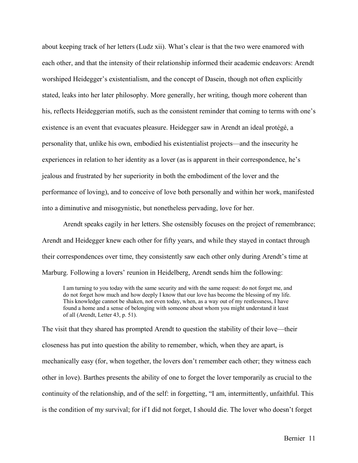about keeping track of her letters (Ludz xii). What's clear is that the two were enamored with each other, and that the intensity of their relationship informed their academic endeavors: Arendt worshiped Heidegger's existentialism, and the concept of Dasein, though not often explicitly stated, leaks into her later philosophy. More generally, her writing, though more coherent than his, reflects Heideggerian motifs, such as the consistent reminder that coming to terms with one's existence is an event that evacuates pleasure. Heidegger saw in Arendt an ideal protégé, a personality that, unlike his own, embodied his existentialist projects––and the insecurity he experiences in relation to her identity as a lover (as is apparent in their correspondence, he's jealous and frustrated by her superiority in both the embodiment of the lover and the performance of loving), and to conceive of love both personally and within her work, manifested into a diminutive and misogynistic, but nonetheless pervading, love for her.

Arendt speaks cagily in her letters. She ostensibly focuses on the project of remembrance; Arendt and Heidegger knew each other for fifty years, and while they stayed in contact through their correspondences over time, they consistently saw each other only during Arendt's time at Marburg. Following a lovers' reunion in Heidelberg, Arendt sends him the following:

I am turning to you today with the same security and with the same request: do not forget me, and do not forget how much and how deeply I know that our love has become the blessing of my life. This knowledge cannot be shaken, not even today, when, as a way out of my restlessness, I have found a home and a sense of belonging with someone about whom you might understand it least of all (Arendt, Letter 43, p. 51).

The visit that they shared has prompted Arendt to question the stability of their love—their closeness has put into question the ability to remember, which, when they are apart, is mechanically easy (for, when together, the lovers don't remember each other; they witness each other in love). Barthes presents the ability of one to forget the lover temporarily as crucial to the continuity of the relationship, and of the self: in forgetting, "I am, intermittently, unfaithful. This is the condition of my survival; for if I did not forget, I should die. The lover who doesn't forget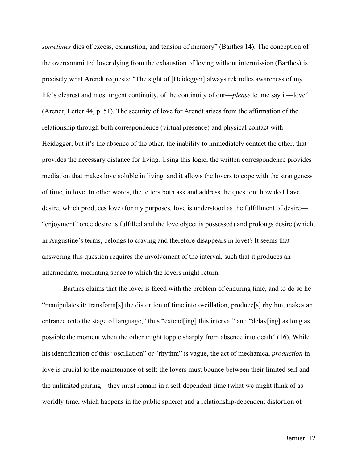*sometimes* dies of excess, exhaustion, and tension of memory" (Barthes 14). The conception of the overcommitted lover dying from the exhaustion of loving without intermission (Barthes) is precisely what Arendt requests: "The sight of [Heidegger] always rekindles awareness of my life's clearest and most urgent continuity, of the continuity of our—*please* let me say it—love" (Arendt, Letter 44, p. 51). The security of love for Arendt arises from the affirmation of the relationship through both correspondence (virtual presence) and physical contact with Heidegger, but it's the absence of the other, the inability to immediately contact the other, that provides the necessary distance for living. Using this logic, the written correspondence provides mediation that makes love soluble in living, and it allows the lovers to cope with the strangeness of time, in love. In other words, the letters both ask and address the question: how do I have desire, which produces love (for my purposes, love is understood as the fulfillment of desire–– "enjoyment" once desire is fulfilled and the love object is possessed) and prolongs desire (which, in Augustine's terms, belongs to craving and therefore disappears in love)? It seems that answering this question requires the involvement of the interval, such that it produces an intermediate, mediating space to which the lovers might return.

Barthes claims that the lover is faced with the problem of enduring time, and to do so he "manipulates it: transform[s] the distortion of time into oscillation, produce[s] rhythm, makes an entrance onto the stage of language," thus "extend[ing] this interval" and "delay[ing] as long as possible the moment when the other might topple sharply from absence into death" (16). While his identification of this "oscillation" or "rhythm" is vague, the act of mechanical *production* in love is crucial to the maintenance of self: the lovers must bounce between their limited self and the unlimited pairing––they must remain in a self-dependent time (what we might think of as worldly time, which happens in the public sphere) and a relationship-dependent distortion of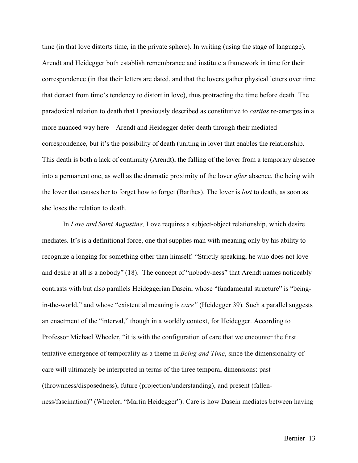time (in that love distorts time, in the private sphere). In writing (using the stage of language), Arendt and Heidegger both establish remembrance and institute a framework in time for their correspondence (in that their letters are dated, and that the lovers gather physical letters over time that detract from time's tendency to distort in love), thus protracting the time before death. The paradoxical relation to death that I previously described as constitutive to *caritas* re-emerges in a more nuanced way here––Arendt and Heidegger defer death through their mediated correspondence, but it's the possibility of death (uniting in love) that enables the relationship. This death is both a lack of continuity (Arendt), the falling of the lover from a temporary absence into a permanent one, as well as the dramatic proximity of the lover *after* absence, the being with the lover that causes her to forget how to forget (Barthes). The lover is *lost* to death, as soon as she loses the relation to death.

In *Love and Saint Augustine,* Love requires a subject-object relationship, which desire mediates. It's is a definitional force, one that supplies man with meaning only by his ability to recognize a longing for something other than himself: "Strictly speaking, he who does not love and desire at all is a nobody" (18). The concept of "nobody-ness" that Arendt names noticeably contrasts with but also parallels Heideggerian Dasein, whose "fundamental structure" is "beingin-the-world," and whose "existential meaning is *care"* (Heidegger 39). Such a parallel suggests an enactment of the "interval," though in a worldly context, for Heidegger. According to Professor Michael Wheeler, "it is with the configuration of care that we encounter the first tentative emergence of temporality as a theme in *Being and Time*, since the dimensionality of care will ultimately be interpreted in terms of the three temporal dimensions: past (thrownness/disposedness), future (projection/understanding), and present (fallenness/fascination)" (Wheeler, "Martin Heidegger"). Care is how Dasein mediates between having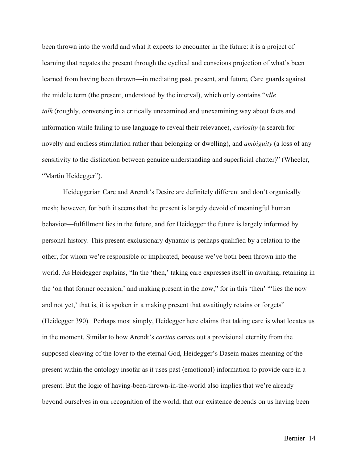been thrown into the world and what it expects to encounter in the future: it is a project of learning that negates the present through the cyclical and conscious projection of what's been learned from having been thrown––in mediating past, present, and future, Care guards against the middle term (the present, understood by the interval), which only contains "*idle talk* (roughly, conversing in a critically unexamined and unexamining way about facts and information while failing to use language to reveal their relevance), *curiosity* (a search for novelty and endless stimulation rather than belonging or dwelling), and *ambiguity* (a loss of any sensitivity to the distinction between genuine understanding and superficial chatter)" (Wheeler, "Martin Heidegger").

Heideggerian Care and Arendt's Desire are definitely different and don't organically mesh; however, for both it seems that the present is largely devoid of meaningful human behavior––fulfillment lies in the future, and for Heidegger the future is largely informed by personal history. This present-exclusionary dynamic is perhaps qualified by a relation to the other, for whom we're responsible or implicated, because we've both been thrown into the world. As Heidegger explains, "In the 'then,' taking care expresses itself in awaiting, retaining in the 'on that former occasion,' and making present in the now," for in this 'then' "'lies the now and not yet,' that is, it is spoken in a making present that awaitingly retains or forgets" (Heidegger 390). Perhaps most simply, Heidegger here claims that taking care is what locates us in the moment. Similar to how Arendt's *caritas* carves out a provisional eternity from the supposed cleaving of the lover to the eternal God, Heidegger's Dasein makes meaning of the present within the ontology insofar as it uses past (emotional) information to provide care in a present. But the logic of having-been-thrown-in-the-world also implies that we're already beyond ourselves in our recognition of the world, that our existence depends on us having been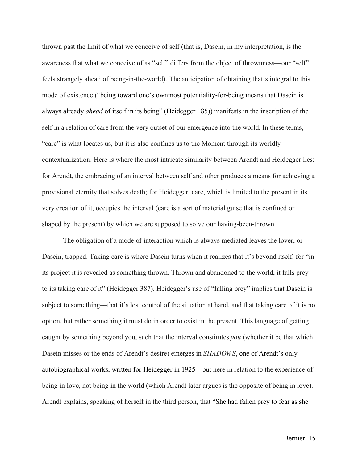thrown past the limit of what we conceive of self (that is, Dasein, in my interpretation, is the awareness that what we conceive of as "self" differs from the object of thrownness––our "self" feels strangely ahead of being-in-the-world). The anticipation of obtaining that's integral to this mode of existence ("being toward one's ownmost potentiality-for-being means that Dasein is always already *ahead* of itself in its being" (Heidegger 185)) manifests in the inscription of the self in a relation of care from the very outset of our emergence into the world. In these terms, "care" is what locates us, but it is also confines us to the Moment through its worldly contextualization. Here is where the most intricate similarity between Arendt and Heidegger lies: for Arendt, the embracing of an interval between self and other produces a means for achieving a provisional eternity that solves death; for Heidegger, care, which is limited to the present in its very creation of it, occupies the interval (care is a sort of material guise that is confined or shaped by the present) by which we are supposed to solve our having-been-thrown.

The obligation of a mode of interaction which is always mediated leaves the lover, or Dasein, trapped. Taking care is where Dasein turns when it realizes that it's beyond itself, for "in its project it is revealed as something thrown. Thrown and abandoned to the world, it falls prey to its taking care of it" (Heidegger 387). Heidegger's use of "falling prey" implies that Dasein is subject to something––that it's lost control of the situation at hand, and that taking care of it is no option, but rather something it must do in order to exist in the present. This language of getting caught by something beyond you, such that the interval constitutes *you* (whether it be that which Dasein misses or the ends of Arendt's desire) emerges in *SHADOWS*, one of Arendt's only autobiographical works, written for Heidegger in 1925––but here in relation to the experience of being in love, not being in the world (which Arendt later argues is the opposite of being in love). Arendt explains, speaking of herself in the third person, that "She had fallen prey to fear as she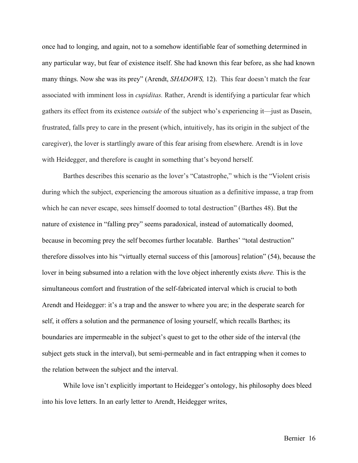once had to longing, and again, not to a somehow identifiable fear of something determined in any particular way, but fear of existence itself. She had known this fear before, as she had known many things. Now she was its prey" (Arendt, *SHADOWS,* 12). This fear doesn't match the fear associated with imminent loss in *cupiditas.* Rather, Arendt is identifying a particular fear which gathers its effect from its existence *outside* of the subject who's experiencing it––just as Dasein, frustrated, falls prey to care in the present (which, intuitively, has its origin in the subject of the caregiver), the lover is startlingly aware of this fear arising from elsewhere. Arendt is in love with Heidegger, and therefore is caught in something that's beyond herself.

Barthes describes this scenario as the lover's "Catastrophe," which is the "Violent crisis during which the subject, experiencing the amorous situation as a definitive impasse, a trap from which he can never escape, sees himself doomed to total destruction" (Barthes 48). But the nature of existence in "falling prey" seems paradoxical, instead of automatically doomed, because in becoming prey the self becomes further locatable. Barthes' "total destruction" therefore dissolves into his "virtually eternal success of this [amorous] relation" (54), because the lover in being subsumed into a relation with the love object inherently exists *there.* This is the simultaneous comfort and frustration of the self-fabricated interval which is crucial to both Arendt and Heidegger: it's a trap and the answer to where you are; in the desperate search for self, it offers a solution and the permanence of losing yourself, which recalls Barthes; its boundaries are impermeable in the subject's quest to get to the other side of the interval (the subject gets stuck in the interval), but semi-permeable and in fact entrapping when it comes to the relation between the subject and the interval.

While love isn't explicitly important to Heidegger's ontology, his philosophy does bleed into his love letters. In an early letter to Arendt, Heidegger writes,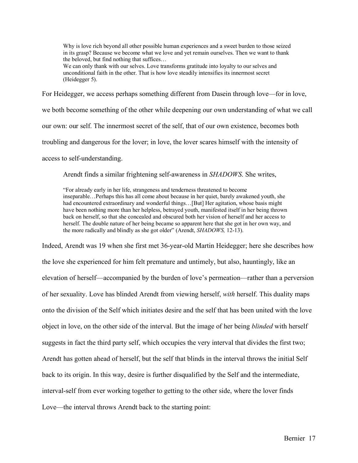Why is love rich beyond all other possible human experiences and a sweet burden to those seized in its grasp? Because we become what we love and yet remain ourselves. Then we want to thank the beloved, but find nothing that suffices…

We can only thank with our selves. Love transforms gratitude into loyalty to our selves and unconditional faith in the other. That is how love steadily intensifies its innermost secret (Heidegger 5).

For Heidegger, we access perhaps something different from Dasein through love––for in love,

we both become something of the other while deepening our own understanding of what we call

our own: our self. The innermost secret of the self, that of our own existence, becomes both

troubling and dangerous for the lover; in love, the lover scares himself with the intensity of

access to self-understanding.

Arendt finds a similar frightening self-awareness in *SHADOWS*. She writes,

"For already early in her life, strangeness and tenderness threatened to become inseparable…Perhaps this has all come about because in her quiet, barely awakened youth, she had encountered extraordinary and wonderful things...[But] Her agitation, whose basis might have been nothing more than her helpless, betrayed youth, manifested itself in her being thrown back on herself, so that she concealed and obscured both her vision of herself and her access to herself. The double nature of her being became so apparent here that she got in her own way, and the more radically and blindly as she got older" (Arendt, *SHADOWS,* 12-13).

Indeed, Arendt was 19 when she first met 36-year-old Martin Heidegger; here she describes how the love she experienced for him felt premature and untimely, but also, hauntingly, like an elevation of herself––accompanied by the burden of love's permeation––rather than a perversion of her sexuality. Love has blinded Arendt from viewing herself, *with* herself. This duality maps onto the division of the Self which initiates desire and the self that has been united with the love object in love, on the other side of the interval. But the image of her being *blinded* with herself suggests in fact the third party self, which occupies the very interval that divides the first two; Arendt has gotten ahead of herself, but the self that blinds in the interval throws the initial Self back to its origin. In this way, desire is further disqualified by the Self and the intermediate, interval-self from ever working together to getting to the other side, where the lover finds Love—the interval throws Arendt back to the starting point: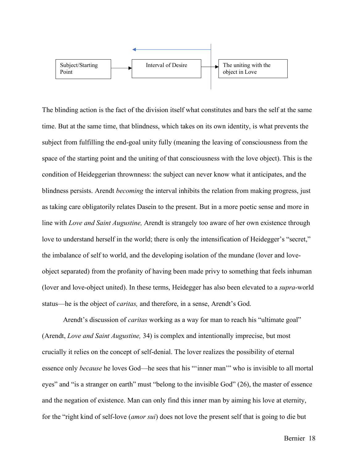

The blinding action is the fact of the division itself what constitutes and bars the self at the same time. But at the same time, that blindness, which takes on its own identity, is what prevents the subject from fulfilling the end-goal unity fully (meaning the leaving of consciousness from the space of the starting point and the uniting of that consciousness with the love object). This is the condition of Heideggerian thrownness: the subject can never know what it anticipates, and the blindness persists. Arendt *becoming* the interval inhibits the relation from making progress, just as taking care obligatorily relates Dasein to the present. But in a more poetic sense and more in line with *Love and Saint Augustine,* Arendt is strangely too aware of her own existence through love to understand herself in the world; there is only the intensification of Heidegger's "secret," the imbalance of self to world, and the developing isolation of the mundane (lover and loveobject separated) from the profanity of having been made privy to something that feels inhuman (lover and love-object united). In these terms, Heidegger has also been elevated to a *supra*-world status––he is the object of *caritas,* and therefore, in a sense, Arendt's God.

Arendt's discussion of *caritas* working as a way for man to reach his "ultimate goal" (Arendt, *Love and Saint Augustine,* 34) is complex and intentionally imprecise, but most crucially it relies on the concept of self-denial. The lover realizes the possibility of eternal essence only *because* he loves God––he sees that his "'inner man'" who is invisible to all mortal eyes" and "is a stranger on earth" must "belong to the invisible God" (26), the master of essence and the negation of existence. Man can only find this inner man by aiming his love at eternity, for the "right kind of self-love (*amor sui*) does not love the present self that is going to die but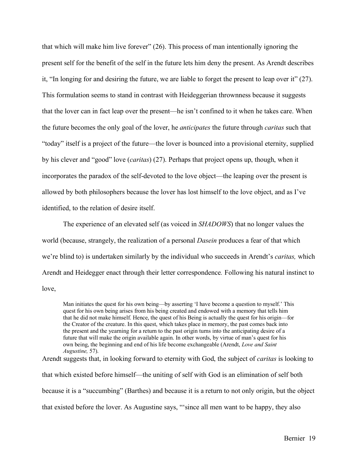that which will make him live forever" (26). This process of man intentionally ignoring the present self for the benefit of the self in the future lets him deny the present. As Arendt describes it, "In longing for and desiring the future, we are liable to forget the present to leap over it" (27). This formulation seems to stand in contrast with Heideggerian thrownness because it suggests that the lover can in fact leap over the present––he isn't confined to it when he takes care. When the future becomes the only goal of the lover, he *anticipates* the future through *caritas* such that "today" itself is a project of the future––the lover is bounced into a provisional eternity, supplied by his clever and "good" love (*caritas*) (27). Perhaps that project opens up, though, when it incorporates the paradox of the self-devoted to the love object––the leaping over the present is allowed by both philosophers because the lover has lost himself to the love object, and as I've identified, to the relation of desire itself.

The experience of an elevated self (as voiced in *SHADOWS*) that no longer values the world (because, strangely, the realization of a personal *Dasein* produces a fear of that which we're blind to) is undertaken similarly by the individual who succeeds in Arendt's *caritas,* which Arendt and Heidegger enact through their letter correspondence*.* Following his natural instinct to love,

Man initiates the quest for his own being––by asserting 'I have become a question to myself.' This quest for his own being arises from his being created and endowed with a memory that tells him that he did not make himself. Hence, the quest of his Being is actually the quest for his origin––for the Creator of the creature. In this quest, which takes place in memory, the past comes back into the present and the yearning for a return to the past origin turns into the anticipating desire of a future that will make the origin available again. In other words, by virtue of man's quest for his own being, the beginning and end of his life become exchangeable (Arendt, *Love and Saint Augustine,* 57).

Arendt suggests that, in looking forward to eternity with God, the subject of *caritas* is looking to that which existed before himself––the uniting of self with God is an elimination of self both because it is a "succumbing" (Barthes) and because it is a return to not only origin, but the object that existed before the lover. As Augustine says, "'since all men want to be happy, they also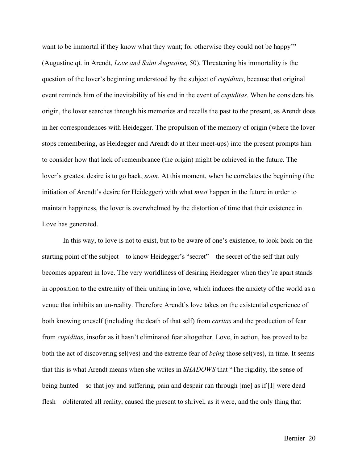want to be immortal if they know what they want; for otherwise they could not be happy" (Augustine qt. in Arendt, *Love and Saint Augustine,* 50). Threatening his immortality is the question of the lover's beginning understood by the subject of *cupiditas*, because that original event reminds him of the inevitability of his end in the event of *cupiditas*. When he considers his origin, the lover searches through his memories and recalls the past to the present, as Arendt does in her correspondences with Heidegger. The propulsion of the memory of origin (where the lover stops remembering, as Heidegger and Arendt do at their meet-ups) into the present prompts him to consider how that lack of remembrance (the origin) might be achieved in the future. The lover's greatest desire is to go back, *soon.* At this moment, when he correlates the beginning (the initiation of Arendt's desire for Heidegger) with what *must* happen in the future in order to maintain happiness, the lover is overwhelmed by the distortion of time that their existence in Love has generated.

In this way, to love is not to exist, but to be aware of one's existence, to look back on the starting point of the subject––to know Heidegger's "secret"––the secret of the self that only becomes apparent in love. The very worldliness of desiring Heidegger when they're apart stands in opposition to the extremity of their uniting in love, which induces the anxiety of the world as a venue that inhibits an un-reality. Therefore Arendt's love takes on the existential experience of both knowing oneself (including the death of that self) from *caritas* and the production of fear from *cupiditas*, insofar as it hasn't eliminated fear altogether. Love, in action, has proved to be both the act of discovering sel(ves) and the extreme fear of *being* those sel(ves), in time. It seems that this is what Arendt means when she writes in *SHADOWS* that "The rigidity, the sense of being hunted––so that joy and suffering, pain and despair ran through [me] as if [I] were dead flesh––obliterated all reality, caused the present to shrivel, as it were, and the only thing that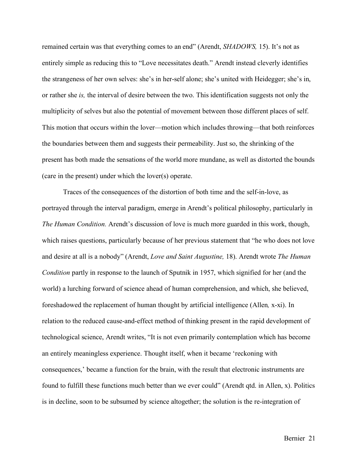remained certain was that everything comes to an end" (Arendt, *SHADOWS,* 15). It's not as entirely simple as reducing this to "Love necessitates death." Arendt instead cleverly identifies the strangeness of her own selves: she's in her-self alone; she's united with Heidegger; she's in, or rather she *is,* the interval of desire between the two. This identification suggests not only the multiplicity of selves but also the potential of movement between those different places of self. This motion that occurs within the lover––motion which includes throwing––that both reinforces the boundaries between them and suggests their permeability. Just so, the shrinking of the present has both made the sensations of the world more mundane, as well as distorted the bounds (care in the present) under which the lover(s) operate.

Traces of the consequences of the distortion of both time and the self-in-love, as portrayed through the interval paradigm, emerge in Arendt's political philosophy, particularly in *The Human Condition.* Arendt's discussion of love is much more guarded in this work, though, which raises questions, particularly because of her previous statement that "he who does not love and desire at all is a nobody" (Arendt, *Love and Saint Augustine,* 18). Arendt wrote *The Human Condition* partly in response to the launch of Sputnik in 1957, which signified for her (and the world) a lurching forward of science ahead of human comprehension, and which, she believed, foreshadowed the replacement of human thought by artificial intelligence (Allen*,* x-xi). In relation to the reduced cause-and-effect method of thinking present in the rapid development of technological science, Arendt writes, "It is not even primarily contemplation which has become an entirely meaningless experience. Thought itself, when it became 'reckoning with consequences,' became a function for the brain, with the result that electronic instruments are found to fulfill these functions much better than we ever could" (Arendt qtd. in Allen, x). Politics is in decline, soon to be subsumed by science altogether; the solution is the re-integration of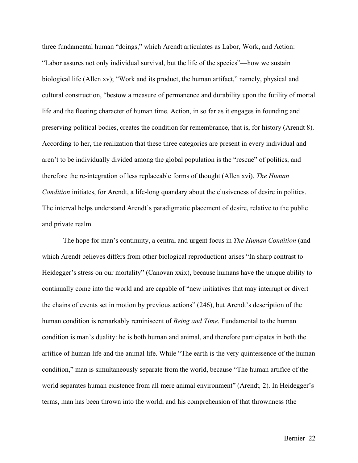three fundamental human "doings," which Arendt articulates as Labor, Work, and Action: "Labor assures not only individual survival, but the life of the species"––how we sustain biological life (Allen xv); "Work and its product, the human artifact," namely, physical and cultural construction, "bestow a measure of permanence and durability upon the futility of mortal life and the fleeting character of human time. Action, in so far as it engages in founding and preserving political bodies, creates the condition for remembrance, that is, for history (Arendt 8). According to her, the realization that these three categories are present in every individual and aren't to be individually divided among the global population is the "rescue" of politics, and therefore the re-integration of less replaceable forms of thought (Allen xvi). *The Human Condition* initiates, for Arendt, a life-long quandary about the elusiveness of desire in politics. The interval helps understand Arendt's paradigmatic placement of desire, relative to the public and private realm.

The hope for man's continuity, a central and urgent focus in *The Human Condition* (and which Arendt believes differs from other biological reproduction) arises "In sharp contrast to Heidegger's stress on our mortality" (Canovan xxix), because humans have the unique ability to continually come into the world and are capable of "new initiatives that may interrupt or divert the chains of events set in motion by previous actions" (246), but Arendt's description of the human condition is remarkably reminiscent of *Being and Time*. Fundamental to the human condition is man's duality: he is both human and animal, and therefore participates in both the artifice of human life and the animal life. While "The earth is the very quintessence of the human condition," man is simultaneously separate from the world, because "The human artifice of the world separates human existence from all mere animal environment" (Arendt*,* 2). In Heidegger's terms, man has been thrown into the world, and his comprehension of that thrownness (the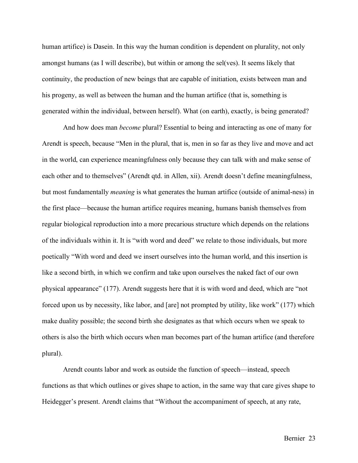human artifice) is Dasein. In this way the human condition is dependent on plurality, not only amongst humans (as I will describe), but within or among the sel(ves). It seems likely that continuity, the production of new beings that are capable of initiation, exists between man and his progeny, as well as between the human and the human artifice (that is, something is generated within the individual, between herself). What (on earth), exactly, is being generated?

And how does man *become* plural? Essential to being and interacting as one of many for Arendt is speech, because "Men in the plural, that is, men in so far as they live and move and act in the world, can experience meaningfulness only because they can talk with and make sense of each other and to themselves" (Arendt qtd. in Allen, xii). Arendt doesn't define meaningfulness, but most fundamentally *meaning* is what generates the human artifice (outside of animal-ness) in the first place––because the human artifice requires meaning, humans banish themselves from regular biological reproduction into a more precarious structure which depends on the relations of the individuals within it. It is "with word and deed" we relate to those individuals, but more poetically "With word and deed we insert ourselves into the human world, and this insertion is like a second birth, in which we confirm and take upon ourselves the naked fact of our own physical appearance" (177). Arendt suggests here that it is with word and deed, which are "not forced upon us by necessity, like labor, and [are] not prompted by utility, like work" (177) which make duality possible; the second birth she designates as that which occurs when we speak to others is also the birth which occurs when man becomes part of the human artifice (and therefore plural).

Arendt counts labor and work as outside the function of speech––instead, speech functions as that which outlines or gives shape to action, in the same way that care gives shape to Heidegger's present. Arendt claims that "Without the accompaniment of speech, at any rate,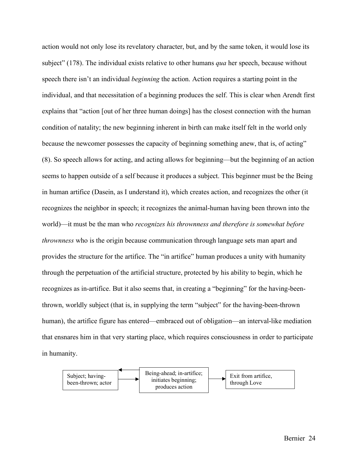action would not only lose its revelatory character, but, and by the same token, it would lose its subject" (178). The individual exists relative to other humans *qua* her speech, because without speech there isn't an individual *beginning* the action. Action requires a starting point in the individual, and that necessitation of a beginning produces the self. This is clear when Arendt first explains that "action [out of her three human doings] has the closest connection with the human condition of natality; the new beginning inherent in birth can make itself felt in the world only because the newcomer possesses the capacity of beginning something anew, that is, of acting" (8). So speech allows for acting, and acting allows for beginning––but the beginning of an action seems to happen outside of a self because it produces a subject. This beginner must be the Being in human artifice (Dasein, as I understand it), which creates action, and recognizes the other (it recognizes the neighbor in speech; it recognizes the animal-human having been thrown into the world)––it must be the man who *recognizes his thrownness and therefore is somewhat before thrownness* who is the origin because communication through language sets man apart and provides the structure for the artifice. The "in artifice" human produces a unity with humanity through the perpetuation of the artificial structure, protected by his ability to begin, which he recognizes as in-artifice. But it also seems that, in creating a "beginning" for the having-beenthrown, worldly subject (that is, in supplying the term "subject" for the having-been-thrown human), the artifice figure has entered—embraced out of obligation—an interval-like mediation that ensnares him in that very starting place, which requires consciousness in order to participate in humanity.

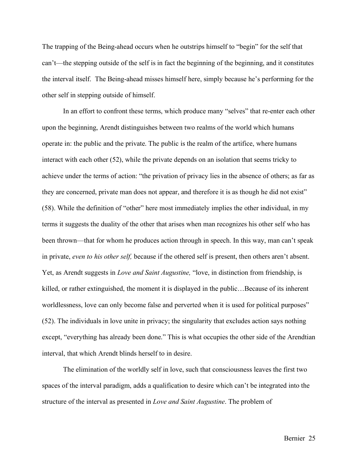The trapping of the Being-ahead occurs when he outstrips himself to "begin" for the self that can't––the stepping outside of the self is in fact the beginning of the beginning, and it constitutes the interval itself. The Being-ahead misses himself here, simply because he's performing for the other self in stepping outside of himself.

In an effort to confront these terms, which produce many "selves" that re-enter each other upon the beginning, Arendt distinguishes between two realms of the world which humans operate in: the public and the private. The public is the realm of the artifice, where humans interact with each other (52), while the private depends on an isolation that seems tricky to achieve under the terms of action: "the privation of privacy lies in the absence of others; as far as they are concerned, private man does not appear, and therefore it is as though he did not exist" (58). While the definition of "other" here most immediately implies the other individual, in my terms it suggests the duality of the other that arises when man recognizes his other self who has been thrown––that for whom he produces action through in speech. In this way, man can't speak in private, *even to his other self,* because if the othered self is present, then others aren't absent. Yet, as Arendt suggests in *Love and Saint Augustine,* "love, in distinction from friendship, is killed, or rather extinguished, the moment it is displayed in the public…Because of its inherent worldlessness, love can only become false and perverted when it is used for political purposes" (52). The individuals in love unite in privacy; the singularity that excludes action says nothing except, "everything has already been done." This is what occupies the other side of the Arendtian interval, that which Arendt blinds herself to in desire.

The elimination of the worldly self in love, such that consciousness leaves the first two spaces of the interval paradigm, adds a qualification to desire which can't be integrated into the structure of the interval as presented in *Love and Saint Augustine*. The problem of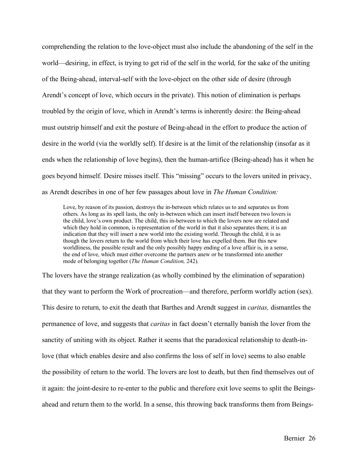comprehending the relation to the love-object must also include the abandoning of the self in the world––desiring, in effect, is trying to get rid of the self in the world, for the sake of the uniting of the Being-ahead, interval-self with the love-object on the other side of desire (through Arendt's concept of love, which occurs in the private). This notion of elimination is perhaps troubled by the origin of love, which in Arendt's terms is inherently desire: the Being-ahead must outstrip himself and exit the posture of Being-ahead in the effort to produce the action of desire in the world (via the worldly self). If desire is at the limit of the relationship (insofar as it ends when the relationship of love begins), then the human-artifice (Being-ahead) has it when he goes beyond himself. Desire misses itself. This "missing" occurs to the lovers united in privacy, as Arendt describes in one of her few passages about love in *The Human Condition:*

Love, by reason of its passion, destroys the in-between which relates us to and separates us from others. As long as its spell lasts, the only in-between which can insert itself between two lovers is the child, love's own product. The child, this in-between to which the lovers now are related and which they hold in common, is representation of the world in that it also separates them; it is an indication that they will insert a new world into the existing world. Through the child, it is as though the lovers return to the world from which their love has expelled them. But this new worldliness, the possible result and the only possibly happy ending of a love affair is, in a sense, the end of love, which must either overcome the partners anew or be transformed into another mode of belonging together (*The Human Condition,* 242).

The lovers have the strange realization (as wholly combined by the elimination of separation) that they want to perform the Work of procreation––and therefore, perform worldly action (sex). This desire to return, to exit the death that Barthes and Arendt suggest in *caritas,* dismantles the permanence of love, and suggests that *caritas* in fact doesn't eternally banish the lover from the sanctity of uniting with its object. Rather it seems that the paradoxical relationship to death-inlove (that which enables desire and also confirms the loss of self in love) seems to also enable the possibility of return to the world. The lovers are lost to death, but then find themselves out of it again: the joint-desire to re-enter to the public and therefore exit love seems to split the Beingsahead and return them to the world. In a sense, this throwing back transforms them from Beings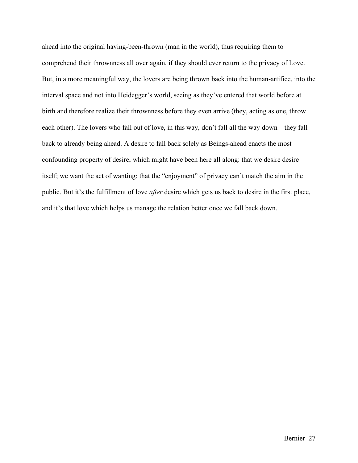ahead into the original having-been-thrown (man in the world), thus requiring them to comprehend their thrownness all over again, if they should ever return to the privacy of Love. But, in a more meaningful way, the lovers are being thrown back into the human-artifice, into the interval space and not into Heidegger's world, seeing as they've entered that world before at birth and therefore realize their thrownness before they even arrive (they, acting as one, throw each other). The lovers who fall out of love, in this way, don't fall all the way down—they fall back to already being ahead. A desire to fall back solely as Beings-ahead enacts the most confounding property of desire, which might have been here all along: that we desire desire itself; we want the act of wanting; that the "enjoyment" of privacy can't match the aim in the public. But it's the fulfillment of love *after* desire which gets us back to desire in the first place, and it's that love which helps us manage the relation better once we fall back down.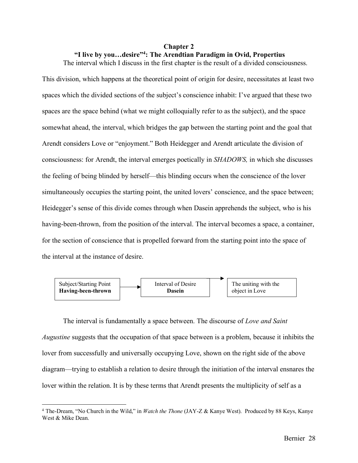## **Chapter 2**

# **"I live by you…desire"4 : The Arendtian Paradigm in Ovid, Propertius**

The interval which I discuss in the first chapter is the result of a divided consciousness.

This division, which happens at the theoretical point of origin for desire, necessitates at least two spaces which the divided sections of the subject's conscience inhabit: I've argued that these two spaces are the space behind (what we might colloquially refer to as the subject), and the space somewhat ahead, the interval, which bridges the gap between the starting point and the goal that Arendt considers Love or "enjoyment." Both Heidegger and Arendt articulate the division of consciousness: for Arendt, the interval emerges poetically in *SHADOWS,* in which she discusses the feeling of being blinded by herself––this blinding occurs when the conscience of the lover simultaneously occupies the starting point, the united lovers' conscience, and the space between; Heidegger's sense of this divide comes through when Dasein apprehends the subject, who is his having-been-thrown, from the position of the interval. The interval becomes a space, a container, for the section of conscience that is propelled forward from the starting point into the space of the interval at the instance of desire.



The interval is fundamentally a space between. The discourse of *Love and Saint Augustine* suggests that the occupation of that space between is a problem, because it inhibits the lover from successfully and universally occupying Love, shown on the right side of the above diagram––trying to establish a relation to desire through the initiation of the interval ensnares the lover within the relation. It is by these terms that Arendt presents the multiplicity of self as a

<sup>&</sup>lt;sup>4</sup> The-Dream, "No Church in the Wild," in *Watch the Thone* (JAY-Z & Kanye West). Produced by 88 Keys, Kanye West & Mike Dean.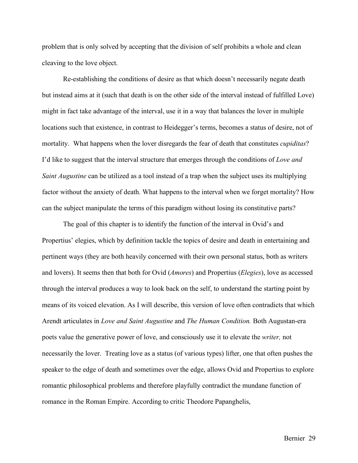problem that is only solved by accepting that the division of self prohibits a whole and clean cleaving to the love object.

Re-establishing the conditions of desire as that which doesn't necessarily negate death but instead aims at it (such that death is on the other side of the interval instead of fulfilled Love) might in fact take advantage of the interval, use it in a way that balances the lover in multiple locations such that existence, in contrast to Heidegger's terms, becomes a status of desire, not of mortality. What happens when the lover disregards the fear of death that constitutes *cupiditas*? I'd like to suggest that the interval structure that emerges through the conditions of *Love and Saint Augustine* can be utilized as a tool instead of a trap when the subject uses its multiplying factor without the anxiety of death. What happens to the interval when we forget mortality? How can the subject manipulate the terms of this paradigm without losing its constitutive parts?

The goal of this chapter is to identify the function of the interval in Ovid's and Propertius' elegies, which by definition tackle the topics of desire and death in entertaining and pertinent ways (they are both heavily concerned with their own personal status, both as writers and lovers). It seems then that both for Ovid (*Amores*) and Propertius (*Elegies*), love as accessed through the interval produces a way to look back on the self, to understand the starting point by means of its voiced elevation. As I will describe, this version of love often contradicts that which Arendt articulates in *Love and Saint Augustine* and *The Human Condition.* Both Augustan-era poets value the generative power of love, and consciously use it to elevate the *writer,* not necessarily the lover. Treating love as a status (of various types) lifter, one that often pushes the speaker to the edge of death and sometimes over the edge, allows Ovid and Propertius to explore romantic philosophical problems and therefore playfully contradict the mundane function of romance in the Roman Empire. According to critic Theodore Papanghelis,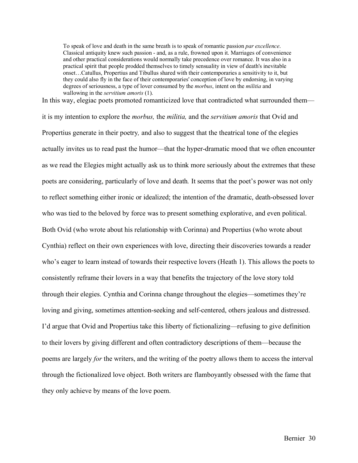To speak of love and death in the same breath is to speak of romantic passion *par excellence*. Classical antiquity knew such passion - and, as a rule, frowned upon it. Marriages of convenience and other practical considerations would normally take precedence over romance. It was also in a practical spirit that people prodded themselves to timely sensuality in view of death's inevitable onset…Catullus, Propertius and Tibullus shared with their contemporaries a sensitivity to it, but they could also fly in the face of their contemporaries' conception of love by endorsing, in varying degrees of seriousness, a type of lover consumed by the *morbus*, intent on the *militia* and wallowing in the *servitium amoris* (1).

In this way, elegiac poets promoted romanticized love that contradicted what surrounded them––

it is my intention to explore the *morbus,* the *militia,* and the *servitium amoris* that Ovid and Propertius generate in their poetry*,* and also to suggest that the theatrical tone of the elegies actually invites us to read past the humor––that the hyper-dramatic mood that we often encounter as we read the Elegies might actually ask us to think more seriously about the extremes that these poets are considering, particularly of love and death*.* It seems that the poet's power was not only to reflect something either ironic or idealized; the intention of the dramatic, death-obsessed lover who was tied to the beloved by force was to present something explorative, and even political. Both Ovid (who wrote about his relationship with Corinna) and Propertius (who wrote about Cynthia) reflect on their own experiences with love, directing their discoveries towards a reader who's eager to learn instead of towards their respective lovers (Heath 1). This allows the poets to consistently reframe their lovers in a way that benefits the trajectory of the love story told through their elegies. Cynthia and Corinna change throughout the elegies––sometimes they're loving and giving, sometimes attention-seeking and self-centered, others jealous and distressed. I'd argue that Ovid and Propertius take this liberty of fictionalizing––refusing to give definition to their lovers by giving different and often contradictory descriptions of them––because the poems are largely *for* the writers, and the writing of the poetry allows them to access the interval through the fictionalized love object. Both writers are flamboyantly obsessed with the fame that they only achieve by means of the love poem.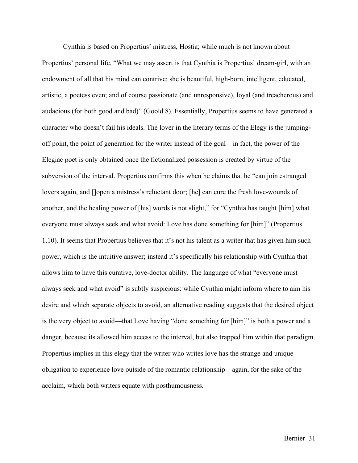Cynthia is based on Propertius' mistress, Hostia; while much is not known about Propertius' personal life, "What we may assert is that Cynthia is Propertius' dream-girl, with an endowment of all that his mind can contrive: she is beautiful, high-born, intelligent, educated, artistic, a poetess even; and of course passionate (and unresponsive), loyal (and treacherous) and audacious (for both good and bad)" (Goold 8). Essentially, Propertius seems to have generated a character who doesn't fail his ideals. The lover in the literary terms of the Elegy is the jumpingoff point, the point of generation for the writer instead of the goal––in fact, the power of the Elegiac poet is only obtained once the fictionalized possession is created by virtue of the subversion of the interval. Propertius confirms this when he claims that he "can join estranged lovers again, and []open a mistress's reluctant door; [he] can cure the fresh love-wounds of another, and the healing power of [his] words is not slight," for "Cynthia has taught [him] what everyone must always seek and what avoid: Love has done something for [him]" (Propertius 1.10). It seems that Propertius believes that it's not his talent as a writer that has given him such power, which is the intuitive answer; instead it's specifically his relationship with Cynthia that allows him to have this curative, love-doctor ability. The language of what "everyone must always seek and what avoid" is subtly suspicious: while Cynthia might inform where to aim his desire and which separate objects to avoid, an alternative reading suggests that the desired object is the very object to avoid––that Love having "done something for [him]" is both a power and a danger, because its allowed him access to the interval, but also trapped him within that paradigm. Propertius implies in this elegy that the writer who writes love has the strange and unique obligation to experience love outside of the romantic relationship––again, for the sake of the acclaim, which both writers equate with posthumousness.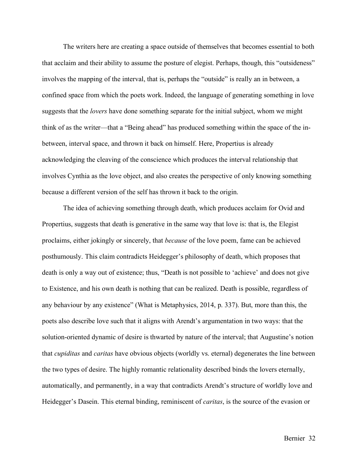The writers here are creating a space outside of themselves that becomes essential to both that acclaim and their ability to assume the posture of elegist. Perhaps, though, this "outsideness" involves the mapping of the interval, that is, perhaps the "outside" is really an in between, a confined space from which the poets work. Indeed, the language of generating something in love suggests that the *lovers* have done something separate for the initial subject, whom we might think of as the writer––that a "Being ahead" has produced something within the space of the inbetween, interval space, and thrown it back on himself. Here, Propertius is already acknowledging the cleaving of the conscience which produces the interval relationship that involves Cynthia as the love object, and also creates the perspective of only knowing something because a different version of the self has thrown it back to the origin.

The idea of achieving something through death, which produces acclaim for Ovid and Propertius, suggests that death is generative in the same way that love is: that is, the Elegist proclaims, either jokingly or sincerely, that *because* of the love poem, fame can be achieved posthumously. This claim contradicts Heidegger's philosophy of death, which proposes that death is only a way out of existence; thus, "Death is not possible to 'achieve' and does not give to Existence, and his own death is nothing that can be realized. Death is possible, regardless of any behaviour by any existence" (What is Metaphysics, 2014, p. 337). But, more than this, the poets also describe love such that it aligns with Arendt's argumentation in two ways: that the solution-oriented dynamic of desire is thwarted by nature of the interval; that Augustine's notion that *cupiditas* and *caritas* have obvious objects (worldly vs. eternal) degenerates the line between the two types of desire. The highly romantic relationality described binds the lovers eternally, automatically, and permanently, in a way that contradicts Arendt's structure of worldly love and Heidegger's Dasein. This eternal binding, reminiscent of *caritas*, is the source of the evasion or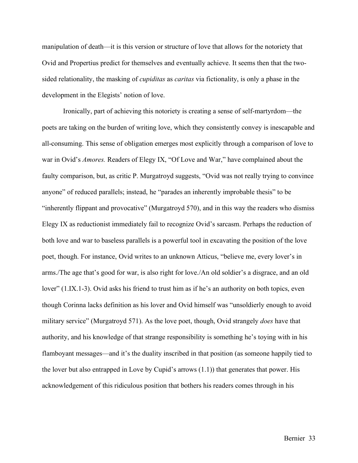manipulation of death––it is this version or structure of love that allows for the notoriety that Ovid and Propertius predict for themselves and eventually achieve. It seems then that the twosided relationality, the masking of *cupiditas* as *caritas* via fictionality, is only a phase in the development in the Elegists' notion of love.

Ironically, part of achieving this notoriety is creating a sense of self-martyrdom––the poets are taking on the burden of writing love, which they consistently convey is inescapable and all-consuming. This sense of obligation emerges most explicitly through a comparison of love to war in Ovid's *Amores.* Readers of Elegy IX, "Of Love and War," have complained about the faulty comparison, but, as critic P. Murgatroyd suggests, "Ovid was not really trying to convince anyone" of reduced parallels; instead, he "parades an inherently improbable thesis" to be "inherently flippant and provocative" (Murgatroyd 570), and in this way the readers who dismiss Elegy IX as reductionist immediately fail to recognize Ovid's sarcasm. Perhaps the reduction of both love and war to baseless parallels is a powerful tool in excavating the position of the love poet, though. For instance, Ovid writes to an unknown Atticus, "believe me, every lover's in arms./The age that's good for war, is also right for love./An old soldier's a disgrace, and an old lover" (1.IX.1-3). Ovid asks his friend to trust him as if he's an authority on both topics, even though Corinna lacks definition as his lover and Ovid himself was "unsoldierly enough to avoid military service" (Murgatroyd 571). As the love poet, though, Ovid strangely *does* have that authority, and his knowledge of that strange responsibility is something he's toying with in his flamboyant messages––and it's the duality inscribed in that position (as someone happily tied to the lover but also entrapped in Love by Cupid's arrows (1.1)) that generates that power. His acknowledgement of this ridiculous position that bothers his readers comes through in his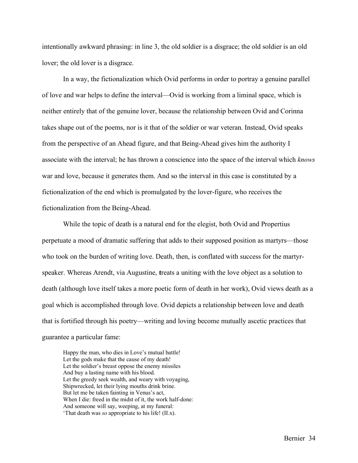intentionally awkward phrasing: in line 3, the old soldier is a disgrace; the old soldier is an old lover; the old lover is a disgrace.

In a way, the fictionalization which Ovid performs in order to portray a genuine parallel of love and war helps to define the interval––Ovid is working from a liminal space, which is neither entirely that of the genuine lover, because the relationship between Ovid and Corinna takes shape out of the poems, nor is it that of the soldier or war veteran. Instead, Ovid speaks from the perspective of an Ahead figure, and that Being-Ahead gives him the authority I associate with the interval; he has thrown a conscience into the space of the interval which *knows*  war and love, because it generates them. And so the interval in this case is constituted by a fictionalization of the end which is promulgated by the lover-figure, who receives the fictionalization from the Being-Ahead.

While the topic of death is a natural end for the elegist, both Ovid and Propertius perpetuate a mood of dramatic suffering that adds to their supposed position as martyrs––those who took on the burden of writing love. Death, then, is conflated with success for the martyrspeaker. Whereas Arendt, via Augustine, **t**reats a uniting with the love object as a solution to death (although love itself takes a more poetic form of death in her work), Ovid views death as a goal which is accomplished through love. Ovid depicts a relationship between love and death that is fortified through his poetry––writing and loving become mutually ascetic practices that guarantee a particular fame:

Happy the man, who dies in Love's mutual battle! Let the gods make that the cause of my death! Let the soldier's breast oppose the enemy missiles And buy a lasting name with his blood. Let the greedy seek wealth, and weary with voyaging, Shipwrecked, let their lying mouths drink brine. But let me be taken fainting in Venus's act, When I die: freed in the midst of it, the work half-done: And someone will say, weeping, at my funeral: 'That death was *so* appropriate to his life! (II.x).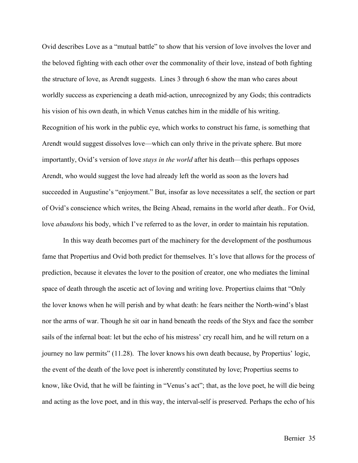Ovid describes Love as a "mutual battle" to show that his version of love involves the lover and the beloved fighting with each other over the commonality of their love, instead of both fighting the structure of love, as Arendt suggests. Lines 3 through 6 show the man who cares about worldly success as experiencing a death mid-action, unrecognized by any Gods; this contradicts his vision of his own death, in which Venus catches him in the middle of his writing. Recognition of his work in the public eye, which works to construct his fame, is something that Arendt would suggest dissolves love––which can only thrive in the private sphere. But more importantly, Ovid's version of love *stays in the world* after his death––this perhaps opposes Arendt, who would suggest the love had already left the world as soon as the lovers had succeeded in Augustine's "enjoyment." But, insofar as love necessitates a self, the section or part of Ovid's conscience which writes, the Being Ahead, remains in the world after death.. For Ovid, love *abandons* his body, which I've referred to as the lover, in order to maintain his reputation.

In this way death becomes part of the machinery for the development of the posthumous fame that Propertius and Ovid both predict for themselves. It's love that allows for the process of prediction, because it elevates the lover to the position of creator, one who mediates the liminal space of death through the ascetic act of loving and writing love. Propertius claims that "Only the lover knows when he will perish and by what death: he fears neither the North-wind's blast nor the arms of war. Though he sit oar in hand beneath the reeds of the Styx and face the somber sails of the infernal boat: let but the echo of his mistress' cry recall him, and he will return on a journey no law permits" (11.28). The lover knows his own death because, by Propertius' logic, the event of the death of the love poet is inherently constituted by love; Propertius seems to know, like Ovid, that he will be fainting in "Venus's act"; that, as the love poet, he will die being and acting as the love poet, and in this way, the interval-self is preserved. Perhaps the echo of his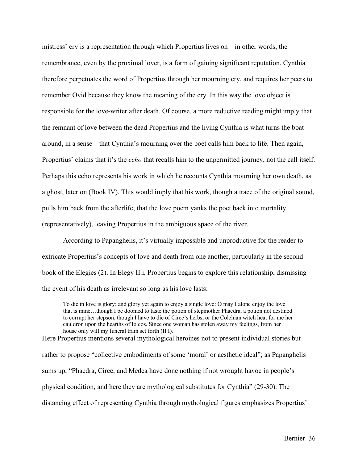mistress' cry is a representation through which Propertius lives on––in other words, the remembrance, even by the proximal lover, is a form of gaining significant reputation. Cynthia therefore perpetuates the word of Propertius through her mourning cry, and requires her peers to remember Ovid because they know the meaning of the cry. In this way the love object is responsible for the love-writer after death. Of course, a more reductive reading might imply that the remnant of love between the dead Propertius and the living Cynthia is what turns the boat around, in a sense—that Cynthia's mourning over the poet calls him back to life. Then again, Propertius' claims that it's the *echo* that recalls him to the unpermitted journey, not the call itself. Perhaps this echo represents his work in which he recounts Cynthia mourning her own death, as a ghost, later on (Book IV). This would imply that his work, though a trace of the original sound, pulls him back from the afterlife; that the love poem yanks the poet back into mortality (representatively), leaving Propertius in the ambiguous space of the river.

According to Papanghelis, it's virtually impossible and unproductive for the reader to extricate Propertius's concepts of love and death from one another, particularly in the second book of the Elegies (2). In Elegy II.i, Propertius begins to explore this relationship, dismissing the event of his death as irrelevant so long as his love lasts:

To die in love is glory: and glory yet again to enjoy a single love: O may I alone enjoy the love that is mine…though I be doomed to taste the potion of stepmother Phaedra, a potion not destined to corrupt her stepson, though I have to die of Circe's herbs, or the Colchian witch heat for me her cauldron upon the hearths of Iolcos. Since one woman has stolen away my feelings, from her house only will my funeral train set forth (II.I).

Here Propertius mentions several mythological heroines not to present individual stories but rather to propose "collective embodiments of some 'moral' or aesthetic ideal"; as Papanghelis sums up, "Phaedra, Circe, and Medea have done nothing if not wrought havoc in people's physical condition, and here they are mythological substitutes for Cynthia" (29-30). The distancing effect of representing Cynthia through mythological figures emphasizes Propertius'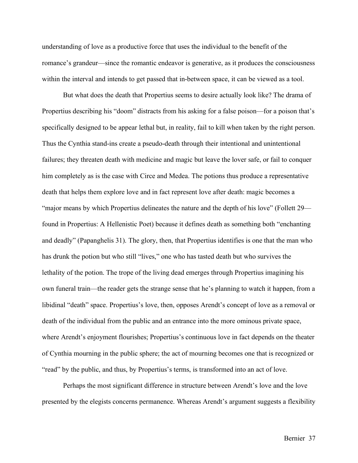understanding of love as a productive force that uses the individual to the benefit of the romance's grandeur––since the romantic endeavor is generative, as it produces the consciousness within the interval and intends to get passed that in-between space, it can be viewed as a tool.

But what does the death that Propertius seems to desire actually look like? The drama of Propertius describing his "doom" distracts from his asking for a false poison––for a poison that's specifically designed to be appear lethal but, in reality, fail to kill when taken by the right person. Thus the Cynthia stand-ins create a pseudo-death through their intentional and unintentional failures; they threaten death with medicine and magic but leave the lover safe, or fail to conquer him completely as is the case with Circe and Medea. The potions thus produce a representative death that helps them explore love and in fact represent love after death: magic becomes a "major means by which Propertius delineates the nature and the depth of his love" (Follett 29 found in Propertius: A Hellenistic Poet) because it defines death as something both "enchanting and deadly" (Papanghelis 31). The glory, then, that Propertius identifies is one that the man who has drunk the potion but who still "lives," one who has tasted death but who survives the lethality of the potion. The trope of the living dead emerges through Propertius imagining his own funeral train––the reader gets the strange sense that he's planning to watch it happen, from a libidinal "death" space. Propertius's love, then, opposes Arendt's concept of love as a removal or death of the individual from the public and an entrance into the more ominous private space, where Arendt's enjoyment flourishes; Propertius's continuous love in fact depends on the theater of Cynthia mourning in the public sphere; the act of mourning becomes one that is recognized or "read" by the public, and thus, by Propertius's terms, is transformed into an act of love.

Perhaps the most significant difference in structure between Arendt's love and the love presented by the elegists concerns permanence. Whereas Arendt's argument suggests a flexibility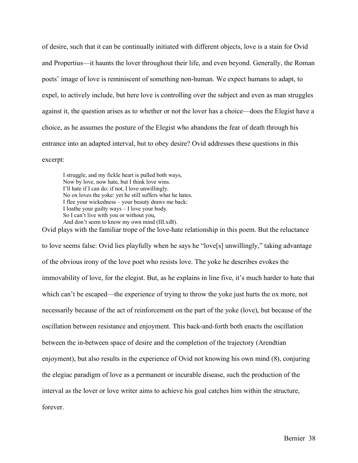of desire, such that it can be continually initiated with different objects, love is a stain for Ovid and Propertius––it haunts the lover throughout their life, and even beyond. Generally, the Roman poets' image of love is reminiscent of something non-human. We expect humans to adapt, to expel, to actively include, but here love is controlling over the subject and even as man struggles against it, the question arises as to whether or not the lover has a choice––does the Elegist have a choice, as he assumes the posture of the Elegist who abandons the fear of death through his entrance into an adapted interval, but to obey desire? Ovid addresses these questions in this excerpt:

I struggle, and my fickle heart is pulled both ways, Now by love, now hate, but I think love wins. I'll hate if I can do: if not, I love unwillingly. No ox loves the yoke: yet he still suffers what he hates. I flee your wickedness – your beauty draws me back: I loathe your guilty ways – I love your body. So I can't live with you or without you, And don't seem to know my own mind (III.xiB).

Ovid plays with the familiar trope of the love-hate relationship in this poem. But the reluctance to love seems false: Ovid lies playfully when he says he "love[s] unwillingly," taking advantage of the obvious irony of the love poet who resists love. The yoke he describes evokes the immovability of love, for the elegist. But, as he explains in line five, it's much harder to hate that which can't be escaped—the experience of trying to throw the yoke just hurts the ox more, not necessarily because of the act of reinforcement on the part of the yoke (love), but because of the oscillation between resistance and enjoyment. This back-and-forth both enacts the oscillation between the in-between space of desire and the completion of the trajectory (Arendtian enjoyment), but also results in the experience of Ovid not knowing his own mind (8), conjuring the elegiac paradigm of love as a permanent or incurable disease, such the production of the interval as the lover or love writer aims to achieve his goal catches him within the structure, forever.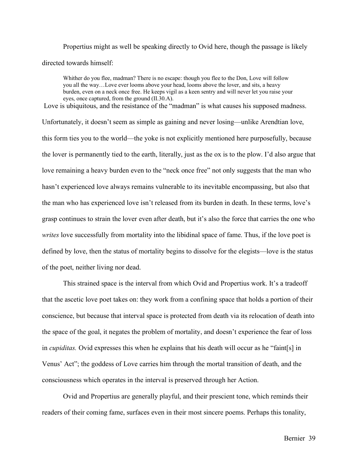Propertius might as well be speaking directly to Ovid here, though the passage is likely directed towards himself:

Whither do you flee, madman? There is no escape: though you flee to the Don, Love will follow you all the way…Love ever looms above your head, looms above the lover, and sits, a heavy burden, even on a neck once free. He keeps vigil as a keen sentry and will never let you raise your eyes, once captured, from the ground (II.30.A).

Love is ubiquitous, and the resistance of the "madman" is what causes his supposed madness.

Unfortunately, it doesn't seem as simple as gaining and never losing––unlike Arendtian love, this form ties you to the world—the yoke is not explicitly mentioned here purposefully, because the lover is permanently tied to the earth, literally, just as the ox is to the plow. I'd also argue that love remaining a heavy burden even to the "neck once free" not only suggests that the man who hasn't experienced love always remains vulnerable to its inevitable encompassing, but also that the man who has experienced love isn't released from its burden in death. In these terms, love's grasp continues to strain the lover even after death, but it's also the force that carries the one who *writes* love successfully from mortality into the libidinal space of fame. Thus, if the love poet is defined by love, then the status of mortality begins to dissolve for the elegists––love is the status of the poet, neither living nor dead.

This strained space is the interval from which Ovid and Propertius work. It's a tradeoff that the ascetic love poet takes on: they work from a confining space that holds a portion of their conscience, but because that interval space is protected from death via its relocation of death into the space of the goal, it negates the problem of mortality, and doesn't experience the fear of loss in *cupiditas.* Ovid expresses this when he explains that his death will occur as he "faint[s] in Venus' Act"; the goddess of Love carries him through the mortal transition of death, and the consciousness which operates in the interval is preserved through her Action.

Ovid and Propertius are generally playful, and their prescient tone, which reminds their readers of their coming fame, surfaces even in their most sincere poems. Perhaps this tonality,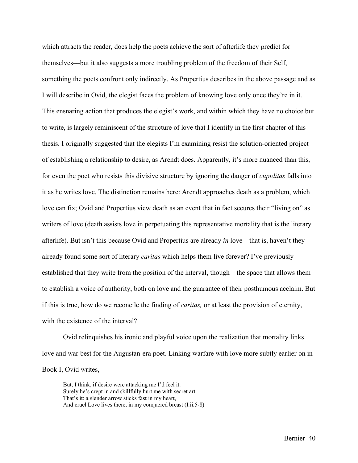which attracts the reader, does help the poets achieve the sort of afterlife they predict for themselves––but it also suggests a more troubling problem of the freedom of their Self, something the poets confront only indirectly. As Propertius describes in the above passage and as I will describe in Ovid, the elegist faces the problem of knowing love only once they're in it. This ensnaring action that produces the elegist's work, and within which they have no choice but to write, is largely reminiscent of the structure of love that I identify in the first chapter of this thesis. I originally suggested that the elegists I'm examining resist the solution-oriented project of establishing a relationship to desire, as Arendt does. Apparently, it's more nuanced than this, for even the poet who resists this divisive structure by ignoring the danger of *cupiditas* falls into it as he writes love. The distinction remains here: Arendt approaches death as a problem, which love can fix; Ovid and Propertius view death as an event that in fact secures their "living on" as writers of love (death assists love in perpetuating this representative mortality that is the literary afterlife). But isn't this because Ovid and Propertius are already *in* love––that is, haven't they already found some sort of literary *caritas* which helps them live forever? I've previously established that they write from the position of the interval, though––the space that allows them to establish a voice of authority, both on love and the guarantee of their posthumous acclaim. But if this is true, how do we reconcile the finding of *caritas,* or at least the provision of eternity, with the existence of the interval?

Ovid relinquishes his ironic and playful voice upon the realization that mortality links love and war best for the Augustan-era poet. Linking warfare with love more subtly earlier on in Book I, Ovid writes,

But, I think, if desire were attacking me I'd feel it. Surely he's crept in and skillfully hurt me with secret art. That's it: a slender arrow sticks fast in my heart, And cruel Love lives there, in my conquered breast (I.ii.5-8)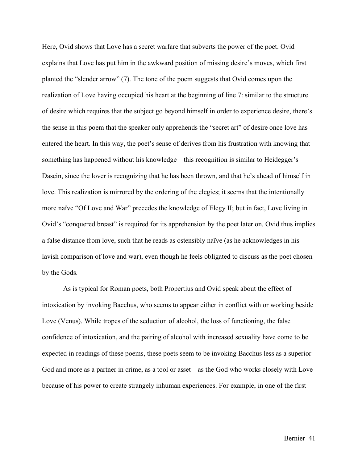Here, Ovid shows that Love has a secret warfare that subverts the power of the poet. Ovid explains that Love has put him in the awkward position of missing desire's moves, which first planted the "slender arrow" (7). The tone of the poem suggests that Ovid comes upon the realization of Love having occupied his heart at the beginning of line 7: similar to the structure of desire which requires that the subject go beyond himself in order to experience desire, there's the sense in this poem that the speaker only apprehends the "secret art" of desire once love has entered the heart. In this way, the poet's sense of derives from his frustration with knowing that something has happened without his knowledge––this recognition is similar to Heidegger's Dasein, since the lover is recognizing that he has been thrown, and that he's ahead of himself in love. This realization is mirrored by the ordering of the elegies; it seems that the intentionally more naïve "Of Love and War" precedes the knowledge of Elegy II; but in fact, Love living in Ovid's "conquered breast" is required for its apprehension by the poet later on. Ovid thus implies a false distance from love, such that he reads as ostensibly naïve (as he acknowledges in his lavish comparison of love and war), even though he feels obligated to discuss as the poet chosen by the Gods.

As is typical for Roman poets, both Propertius and Ovid speak about the effect of intoxication by invoking Bacchus, who seems to appear either in conflict with or working beside Love (Venus). While tropes of the seduction of alcohol, the loss of functioning, the false confidence of intoxication, and the pairing of alcohol with increased sexuality have come to be expected in readings of these poems, these poets seem to be invoking Bacchus less as a superior God and more as a partner in crime, as a tool or asset––as the God who works closely with Love because of his power to create strangely inhuman experiences. For example, in one of the first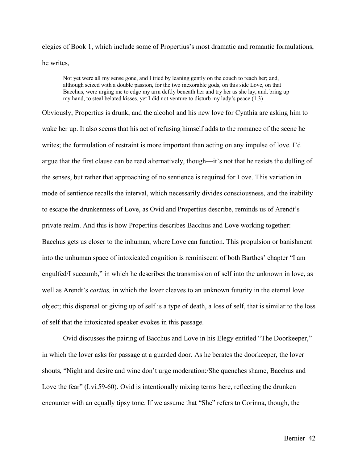elegies of Book 1, which include some of Propertius's most dramatic and romantic formulations, he writes,

Not yet were all my sense gone, and I tried by leaning gently on the couch to reach her; and, although seized with a double passion, for the two inexorable gods, on this side Love, on that Bacchus, were urging me to edge my arm deftly beneath her and try her as she lay, and, bring up my hand, to steal belated kisses, yet I did not venture to disturb my lady's peace (1.3)

Obviously, Propertius is drunk, and the alcohol and his new love for Cynthia are asking him to wake her up. It also seems that his act of refusing himself adds to the romance of the scene he writes; the formulation of restraint is more important than acting on any impulse of love. I'd argue that the first clause can be read alternatively, though––it's not that he resists the dulling of the senses, but rather that approaching of no sentience is required for Love. This variation in mode of sentience recalls the interval, which necessarily divides consciousness, and the inability to escape the drunkenness of Love, as Ovid and Propertius describe, reminds us of Arendt's private realm. And this is how Propertius describes Bacchus and Love working together: Bacchus gets us closer to the inhuman, where Love can function. This propulsion or banishment into the unhuman space of intoxicated cognition is reminiscent of both Barthes' chapter "I am engulfed/I succumb," in which he describes the transmission of self into the unknown in love, as well as Arendt's *caritas,* in which the lover cleaves to an unknown futurity in the eternal love object; this dispersal or giving up of self is a type of death, a loss of self, that is similar to the loss of self that the intoxicated speaker evokes in this passage.

Ovid discusses the pairing of Bacchus and Love in his Elegy entitled "The Doorkeeper," in which the lover asks for passage at a guarded door. As he berates the doorkeeper, the lover shouts, "Night and desire and wine don't urge moderation:/She quenches shame, Bacchus and Love the fear" (I.vi.59-60). Ovid is intentionally mixing terms here, reflecting the drunken encounter with an equally tipsy tone. If we assume that "She" refers to Corinna, though, the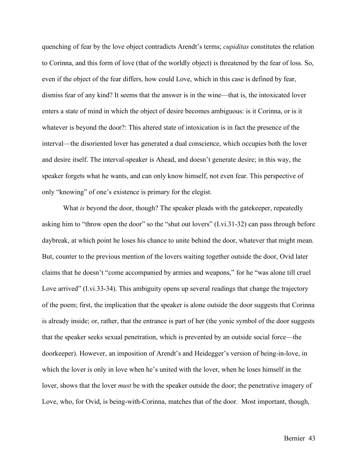quenching of fear by the love object contradicts Arendt's terms; *cupiditas* constitutes the relation to Corinna, and this form of love (that of the worldly object) is threatened by the fear of loss. So, even if the object of the fear differs, how could Love, which in this case is defined by fear, dismiss fear of any kind? It seems that the answer is in the wine––that is, the intoxicated lover enters a state of mind in which the object of desire becomes ambiguous: is it Corinna, or is it whatever is beyond the door?: This altered state of intoxication is in fact the presence of the interval––the disoriented lover has generated a dual conscience, which occupies both the lover and desire itself. The interval-speaker is Ahead, and doesn't generate desire; in this way, the speaker forgets what he wants, and can only know himself, not even fear. This perspective of only "knowing" of one's existence is primary for the elegist.

What *is* beyond the door, though? The speaker pleads with the gatekeeper, repeatedly asking him to "throw open the door" so the "shut out lovers" (I.vi.31-32) can pass through before daybreak, at which point he loses his chance to unite behind the door, whatever that might mean. But, counter to the previous mention of the lovers waiting together outside the door, Ovid later claims that he doesn't "come accompanied by armies and weapons," for he "was alone till cruel Love arrived" (I.vi.33-34). This ambiguity opens up several readings that change the trajectory of the poem; first, the implication that the speaker is alone outside the door suggests that Corinna is already inside; or, rather, that the entrance is part of her (the yonic symbol of the door suggests that the speaker seeks sexual penetration, which is prevented by an outside social force––the doorkeeper). However, an imposition of Arendt's and Heidegger's version of being-in-love, in which the lover is only in love when he's united with the lover, when he loses himself in the lover, shows that the lover *must* be with the speaker outside the door; the penetrative imagery of Love, who, for Ovid, is being-with-Corinna, matches that of the door. Most important, though,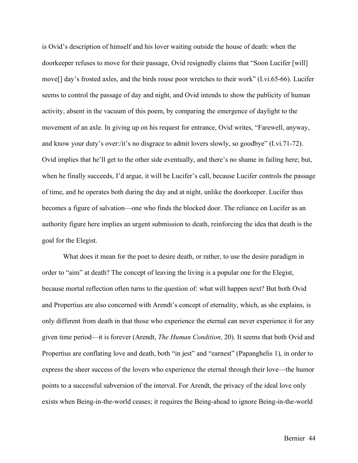is Ovid's description of himself and his lover waiting outside the house of death: when the doorkeeper refuses to move for their passage, Ovid resignedly claims that "Soon Lucifer [will] move[] day's frosted axles, and the birds rouse poor wretches to their work" (I.vi.65-66). Lucifer seems to control the passage of day and night, and Ovid intends to show the publicity of human activity, absent in the vacuum of this poem, by comparing the emergence of daylight to the movement of an axle. In giving up on his request for entrance, Ovid writes, "Farewell, anyway, and know your duty's over:/it's no disgrace to admit lovers slowly, so goodbye" (I.vi.71-72). Ovid implies that he'll get to the other side eventually, and there's no shame in failing here; but, when he finally succeeds, I'd argue, it will be Lucifer's call, because Lucifer controls the passage of time, and he operates both during the day and at night, unlike the doorkeeper. Lucifer thus becomes a figure of salvation—one who finds the blocked door. The reliance on Lucifer as an authority figure here implies an urgent submission to death, reinforcing the idea that death is the goal for the Elegist.

What does it mean for the poet to desire death, or rather, to use the desire paradigm in order to "aim" at death? The concept of leaving the living is a popular one for the Elegist, because mortal reflection often turns to the question of: what will happen next? But both Ovid and Propertius are also concerned with Arendt's concept of eternality, which, as she explains, is only different from death in that those who experience the eternal can never experience it for any given time period––it is forever (Arendt, *The Human Condition,* 20). It seems that both Ovid and Propertius are conflating love and death, both "in jest" and "earnest" (Papanghelis 1), in order to express the sheer success of the lovers who experience the eternal through their love—the humor points to a successful subversion of the interval. For Arendt, the privacy of the ideal love only exists when Being-in-the-world ceases; it requires the Being-ahead to ignore Being-in-the-world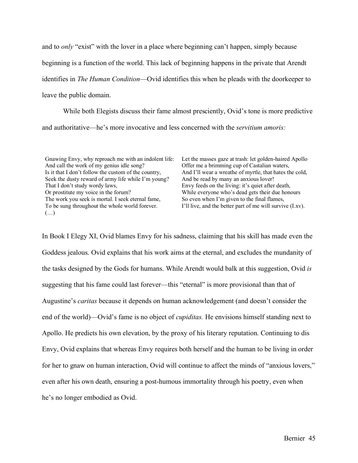and to *only* "exist" with the lover in a place where beginning can't happen, simply because beginning is a function of the world. This lack of beginning happens in the private that Arendt identifies in *The Human Condition*—Ovid identifies this when he pleads with the doorkeeper to leave the public domain.

While both Elegists discuss their fame almost presciently, Ovid's tone is more predictive and authoritative––he's more invocative and less concerned with the *servitium amoris:* 

Gnawing Envy, why reproach me with an indolent life: And call the work of my genius idle song? Is it that I don't follow the custom of the country, Seek the dusty reward of army life while I'm young? That I don't study wordy laws, Or prostitute my voice in the forum? The work you seek is mortal. I seek eternal fame, To be sung throughout the whole world forever. (…)

Let the masses gaze at trash: let golden-haired Apollo Offer me a brimming cup of Castalian waters, And I'll wear a wreathe of myrtle, that hates the cold, And be read by many an anxious lover! Envy feeds on the living: it's quiet after death, While everyone who's dead gets their due honours So even when I'm given to the final flames, I'll live, and the better part of me will survive (I.xv).

In Book I Elegy XI, Ovid blames Envy for his sadness, claiming that his skill has made even the Goddess jealous. Ovid explains that his work aims at the eternal, and excludes the mundanity of the tasks designed by the Gods for humans. While Arendt would balk at this suggestion, Ovid *is*  suggesting that his fame could last forever––this "eternal" is more provisional than that of Augustine's *caritas* because it depends on human acknowledgement (and doesn't consider the end of the world)––Ovid's fame is no object of *cupiditas.* He envisions himself standing next to Apollo. He predicts his own elevation, by the proxy of his literary reputation. Continuing to dis Envy, Ovid explains that whereas Envy requires both herself and the human to be living in order for her to gnaw on human interaction, Ovid will continue to affect the minds of "anxious lovers," even after his own death, ensuring a post-humous immortality through his poetry, even when he's no longer embodied as Ovid.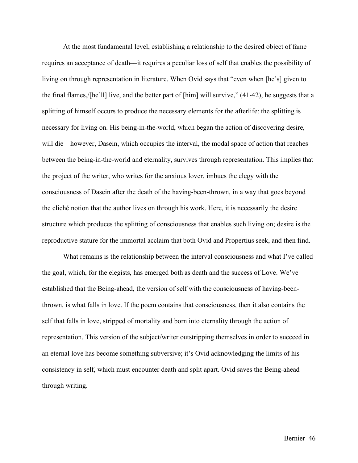At the most fundamental level, establishing a relationship to the desired object of fame requires an acceptance of death––it requires a peculiar loss of self that enables the possibility of living on through representation in literature. When Ovid says that "even when [he's] given to the final flames,/[he'll] live, and the better part of [him] will survive," (41-42), he suggests that a splitting of himself occurs to produce the necessary elements for the afterlife: the splitting is necessary for living on. His being-in-the-world, which began the action of discovering desire, will die—however, Dasein, which occupies the interval, the modal space of action that reaches between the being-in-the-world and eternality, survives through representation. This implies that the project of the writer, who writes for the anxious lover, imbues the elegy with the consciousness of Dasein after the death of the having-been-thrown, in a way that goes beyond the cliché notion that the author lives on through his work. Here, it is necessarily the desire structure which produces the splitting of consciousness that enables such living on; desire is the reproductive stature for the immortal acclaim that both Ovid and Propertius seek, and then find.

What remains is the relationship between the interval consciousness and what I've called the goal, which, for the elegists, has emerged both as death and the success of Love. We've established that the Being-ahead, the version of self with the consciousness of having-beenthrown, is what falls in love. If the poem contains that consciousness, then it also contains the self that falls in love, stripped of mortality and born into eternality through the action of representation. This version of the subject/writer outstripping themselves in order to succeed in an eternal love has become something subversive; it's Ovid acknowledging the limits of his consistency in self, which must encounter death and split apart. Ovid saves the Being-ahead through writing.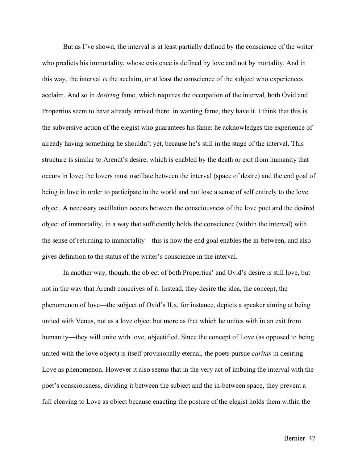But as I've shown, the interval is at least partially defined by the conscience of the writer who predicts his immortality, whose existence is defined by love and not by mortality. And in this way, the interval *is* the acclaim, or at least the conscience of the subject who experiences acclaim. And so in *desiring* fame, which requires the occupation of the interval, both Ovid and Propertius seem to have already arrived there: in wanting fame, they have it. I think that this is the subversive action of the elegist who guarantees his fame: he acknowledges the experience of already having something he shouldn't yet, because he's still in the stage of the interval. This structure is similar to Arendt's desire, which is enabled by the death or exit from humanity that occurs in love; the lovers must oscillate between the interval (space of desire) and the end goal of being in love in order to participate in the world and not lose a sense of self entirely to the love object. A necessary oscillation occurs between the consciousness of the love poet and the desired object of immortality, in a way that sufficiently holds the conscience (within the interval) with the sense of returning to immortality—this is how the end goal enables the in-between, and also gives definition to the status of the writer's conscience in the interval.

In another way, though, the object of both Propertius' and Ovid's desire is still love, but not in the way that Arendt conceives of it. Instead, they desire the idea, the concept, the phenomenon of love––the subject of Ovid's II.x, for instance, depicts a speaker aiming at being united with Venus, not as a love object but more as that which he unites with in an exit from humanity––they will unite with love, objectified. Since the concept of Love (as opposed to being united with the love object) is itself provisionally eternal, the poets pursue *caritas* in desiring Love as phenomenon. However it also seems that in the very act of imbuing the interval with the poet's consciousness, dividing it between the subject and the in-between space, they prevent a full cleaving to Love as object because enacting the posture of the elegist holds them within the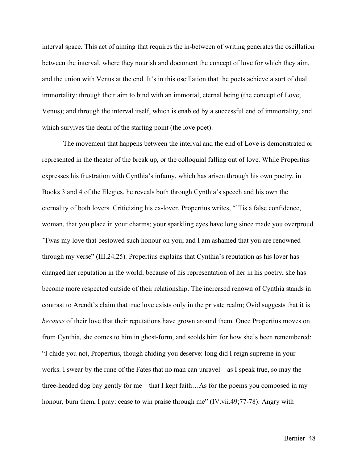interval space. This act of aiming that requires the in-between of writing generates the oscillation between the interval, where they nourish and document the concept of love for which they aim, and the union with Venus at the end. It's in this oscillation that the poets achieve a sort of dual immortality: through their aim to bind with an immortal, eternal being (the concept of Love; Venus); and through the interval itself, which is enabled by a successful end of immortality, and which survives the death of the starting point (the love poet).

The movement that happens between the interval and the end of Love is demonstrated or represented in the theater of the break up, or the colloquial falling out of love. While Propertius expresses his frustration with Cynthia's infamy, which has arisen through his own poetry, in Books 3 and 4 of the Elegies, he reveals both through Cynthia's speech and his own the eternality of both lovers. Criticizing his ex-lover, Propertius writes, "'Tis a false confidence, woman, that you place in your charms; your sparkling eyes have long since made you overproud. 'Twas my love that bestowed such honour on you; and I am ashamed that you are renowned through my verse" (III.24,25). Propertius explains that Cynthia's reputation as his lover has changed her reputation in the world; because of his representation of her in his poetry, she has become more respected outside of their relationship. The increased renown of Cynthia stands in contrast to Arendt's claim that true love exists only in the private realm; Ovid suggests that it is *because* of their love that their reputations have grown around them. Once Propertius moves on from Cynthia, she comes to him in ghost-form, and scolds him for how she's been remembered: "I chide you not, Propertius, though chiding you deserve: long did I reign supreme in your works. I swear by the rune of the Fates that no man can unravel––as I speak true, so may the three-headed dog bay gently for me––that I kept faith…As for the poems you composed in my honour, burn them, I pray: cease to win praise through me" (IV.vii.49;77-78). Angry with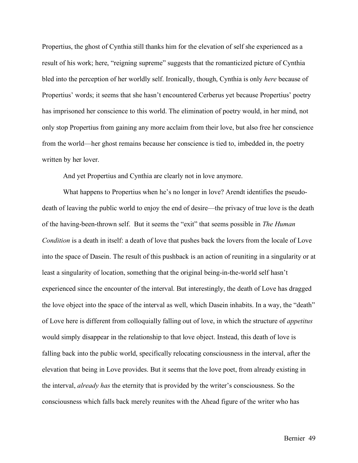Propertius, the ghost of Cynthia still thanks him for the elevation of self she experienced as a result of his work; here, "reigning supreme" suggests that the romanticized picture of Cynthia bled into the perception of her worldly self. Ironically, though, Cynthia is only *here* because of Propertius' words; it seems that she hasn't encountered Cerberus yet because Propertius' poetry has imprisoned her conscience to this world. The elimination of poetry would, in her mind, not only stop Propertius from gaining any more acclaim from their love, but also free her conscience from the world––her ghost remains because her conscience is tied to, imbedded in, the poetry written by her lover.

And yet Propertius and Cynthia are clearly not in love anymore.

What happens to Propertius when he's no longer in love? Arendt identifies the pseudodeath of leaving the public world to enjoy the end of desire––the privacy of true love is the death of the having-been-thrown self. But it seems the "exit" that seems possible in *The Human Condition* is a death in itself: a death of love that pushes back the lovers from the locale of Love into the space of Dasein. The result of this pushback is an action of reuniting in a singularity or at least a singularity of location, something that the original being-in-the-world self hasn't experienced since the encounter of the interval. But interestingly, the death of Love has dragged the love object into the space of the interval as well, which Dasein inhabits. In a way, the "death" of Love here is different from colloquially falling out of love, in which the structure of *appetitus*  would simply disappear in the relationship to that love object. Instead, this death of love is falling back into the public world, specifically relocating consciousness in the interval, after the elevation that being in Love provides. But it seems that the love poet, from already existing in the interval, *already has* the eternity that is provided by the writer's consciousness. So the consciousness which falls back merely reunites with the Ahead figure of the writer who has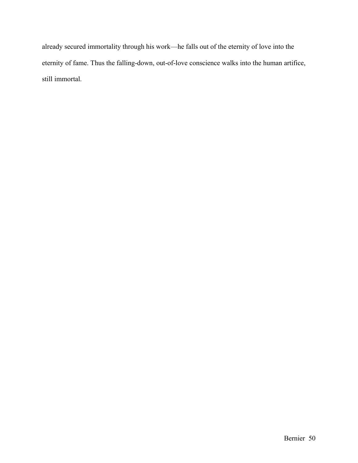already secured immortality through his work––he falls out of the eternity of love into the eternity of fame. Thus the falling-down, out-of-love conscience walks into the human artifice, still immortal.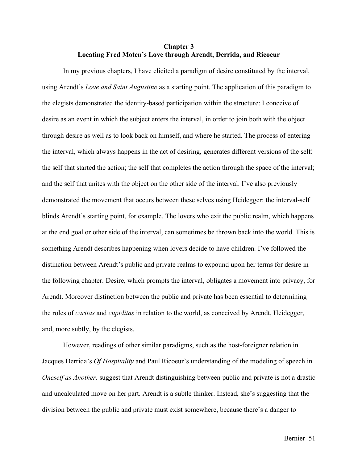## **Chapter 3 Locating Fred Moten's Love through Arendt, Derrida, and Ricoeur**

In my previous chapters, I have elicited a paradigm of desire constituted by the interval, using Arendt's *Love and Saint Augustine* as a starting point. The application of this paradigm to the elegists demonstrated the identity-based participation within the structure: I conceive of desire as an event in which the subject enters the interval, in order to join both with the object through desire as well as to look back on himself, and where he started. The process of entering the interval, which always happens in the act of desiring, generates different versions of the self: the self that started the action; the self that completes the action through the space of the interval; and the self that unites with the object on the other side of the interval. I've also previously demonstrated the movement that occurs between these selves using Heidegger: the interval-self blinds Arendt's starting point, for example. The lovers who exit the public realm, which happens at the end goal or other side of the interval, can sometimes be thrown back into the world. This is something Arendt describes happening when lovers decide to have children. I've followed the distinction between Arendt's public and private realms to expound upon her terms for desire in the following chapter. Desire, which prompts the interval, obligates a movement into privacy, for Arendt. Moreover distinction between the public and private has been essential to determining the roles of *caritas* and *cupiditas* in relation to the world, as conceived by Arendt, Heidegger, and, more subtly, by the elegists.

However, readings of other similar paradigms, such as the host-foreigner relation in Jacques Derrida's *Of Hospitality* and Paul Ricoeur's understanding of the modeling of speech in *Oneself as Another,* suggest that Arendt distinguishing between public and private is not a drastic and uncalculated move on her part. Arendt is a subtle thinker. Instead, she's suggesting that the division between the public and private must exist somewhere, because there's a danger to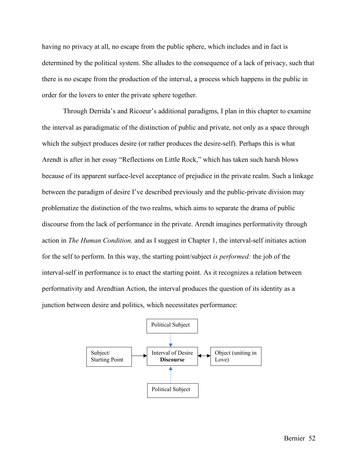having no privacy at all, no escape from the public sphere, which includes and in fact is determined by the political system. She alludes to the consequence of a lack of privacy, such that there is no escape from the production of the interval, a process which happens in the public in order for the lovers to enter the private sphere together.

Through Derrida's and Ricoeur's additional paradigms, I plan in this chapter to examine the interval as paradigmatic of the distinction of public and private, not only as a space through which the subject produces desire (or rather produces the desire-self). Perhaps this is what Arendt is after in her essay "Reflections on Little Rock," which has taken such harsh blows because of its apparent surface-level acceptance of prejudice in the private realm. Such a linkage between the paradigm of desire I've described previously and the public-private division may problematize the distinction of the two realms, which aims to separate the drama of public discourse from the lack of performance in the private. Arendt imagines performativity through action in *The Human Condition,* and as I suggest in Chapter 1, the interval-self initiates action for the self to perform. In this way, the starting point/subject *is performed:* the job of the interval-self in performance is to enact the starting point. As it recognizes a relation between performativity and Arendtian Action, the interval produces the question of its identity as a junction between desire and politics, which necessitates performance:

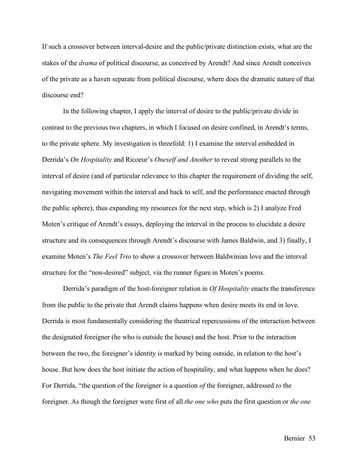If such a crossover between interval-desire and the public/private distinction exists, what are the stakes of the *drama* of political discourse, as conceived by Arendt? And since Arendt conceives of the private as a haven separate from political discourse, where does the dramatic nature of that discourse end?

In the following chapter, I apply the interval of desire to the public/private divide in contrast to the previous two chapters, in which I focused on desire confined, in Arendt's terms, to the private sphere. My investigation is threefold: 1) I examine the interval embedded in Derrida's *On Hospitality* and Ricoeur's *Oneself and Another* to reveal strong parallels to the interval of desire (and of particular relevance to this chapter the requirement of dividing the self, navigating movement within the interval and back to self, and the performance enacted through the public sphere), thus expanding my resources for the next step, which is 2) I analyze Fred Moten's critique of Arendt's essays, deploying the interval in the process to elucidate a desire structure and its consequences through Arendt's discourse with James Baldwin, and 3) finally, I examine Moten's *The Feel Trio* to show a crossover between Baldwinian love and the interval structure for the "non-desired" subject, via the runner figure in Moten's poems.

Derrida's paradigm of the host-foreigner relation in *Of Hospitality* enacts the transference from the public to the private that Arendt claims happens when desire meets its end in love. Derrida is most fundamentally considering the theatrical repercussions of the interaction between the designated foreigner (he who is outside the house) and the host. Prior to the interaction between the two, the foreigner's identity is marked by being outside, in relation to the host's house. But how does the host initiate the action of hospitality, and what happens when he does? For Derrida, "the question of the foreigner is a question *of* the foreigner, addressed *to* the foreigner. As though the foreigner were first of all *the one who* puts the first question or *the one*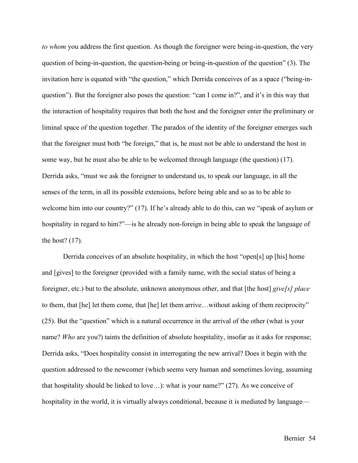*to whom* you address the first question. As though the foreigner were being-in-question, the very question of being-in-question, the question-being or being-in-question of the question" (3). The invitation here is equated with "the question," which Derrida conceives of as a space ("being-inquestion"). But the foreigner also poses the question: "can I come in?", and it's in this way that the interaction of hospitality requires that both the host and the foreigner enter the preliminary or liminal space of the question together. The paradox of the identity of the foreigner emerges such that the foreigner must both "be foreign," that is, he must not be able to understand the host in some way, but he must also be able to be welcomed through language (the question) (17). Derrida asks, "must we ask the foreigner to understand us, to speak our language, in all the senses of the term, in all its possible extensions, before being able and so as to be able to welcome him into our country?" (17). If he's already able to do this, can we "speak of asylum or hospitality in regard to him?"—is he already non-foreign in being able to speak the language of the host? (17).

Derrida conceives of an absolute hospitality, in which the host "open[s] up [his] home and [gives] to the foreigner (provided with a family name, with the social status of being a foreigner, etc.) but to the absolute, unknown anonymous other, and that [the host] *give[s] place*  to them, that [he] let them come, that [he] let them arrive…without asking of them reciprocity" (25). But the "question" which is a natural occurrence in the arrival of the other (what is your name? *Who* are you?) taints the definition of absolute hospitality, insofar as it asks for response; Derrida asks, "Does hospitality consist in interrogating the new arrival? Does it begin with the question addressed to the newcomer (which seems very human and sometimes loving, assuming that hospitality should be linked to love…): what is your name?" (27). As we conceive of hospitality in the world, it is virtually always conditional, because it is mediated by language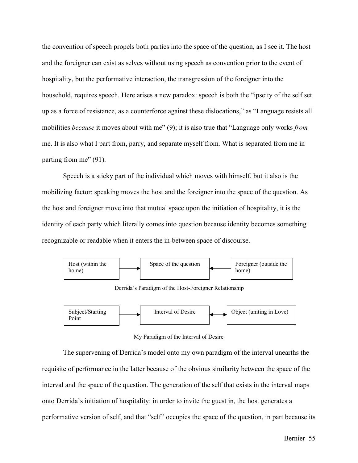the convention of speech propels both parties into the space of the question, as I see it. The host and the foreigner can exist as selves without using speech as convention prior to the event of hospitality, but the performative interaction, the transgression of the foreigner into the household, requires speech. Here arises a new paradox: speech is both the "ipseity of the self set up as a force of resistance, as a counterforce against these dislocations," as "Language resists all mobilities *because* it moves about with me" (9); it is also true that "Language only works *from*  me. It is also what I part from, parry, and separate myself from. What is separated from me in parting from me" (91).

Speech is a sticky part of the individual which moves with himself, but it also is the mobilizing factor: speaking moves the host and the foreigner into the space of the question. As the host and foreigner move into that mutual space upon the initiation of hospitality, it is the identity of each party which literally comes into question because identity becomes something recognizable or readable when it enters the in-between space of discourse.



Derrida's Paradigm of the Host-Foreigner Relationship



## My Paradigm of the Interval of Desire

The supervening of Derrida's model onto my own paradigm of the interval unearths the requisite of performance in the latter because of the obvious similarity between the space of the interval and the space of the question. The generation of the self that exists in the interval maps onto Derrida's initiation of hospitality: in order to invite the guest in, the host generates a performative version of self, and that "self" occupies the space of the question, in part because its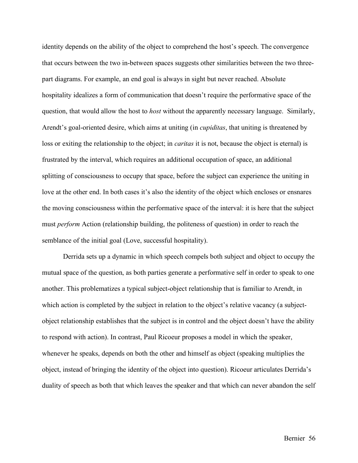identity depends on the ability of the object to comprehend the host's speech. The convergence that occurs between the two in-between spaces suggests other similarities between the two threepart diagrams. For example, an end goal is always in sight but never reached. Absolute hospitality idealizes a form of communication that doesn't require the performative space of the question, that would allow the host to *host* without the apparently necessary language. Similarly, Arendt's goal-oriented desire, which aims at uniting (in *cupiditas*, that uniting is threatened by loss or exiting the relationship to the object; in *caritas* it is not, because the object is eternal) is frustrated by the interval, which requires an additional occupation of space, an additional splitting of consciousness to occupy that space, before the subject can experience the uniting in love at the other end. In both cases it's also the identity of the object which encloses or ensnares the moving consciousness within the performative space of the interval: it is here that the subject must *perform* Action (relationship building, the politeness of question) in order to reach the semblance of the initial goal (Love, successful hospitality).

Derrida sets up a dynamic in which speech compels both subject and object to occupy the mutual space of the question, as both parties generate a performative self in order to speak to one another. This problematizes a typical subject-object relationship that is familiar to Arendt, in which action is completed by the subject in relation to the object's relative vacancy (a subjectobject relationship establishes that the subject is in control and the object doesn't have the ability to respond with action). In contrast, Paul Ricoeur proposes a model in which the speaker, whenever he speaks, depends on both the other and himself as object (speaking multiplies the object, instead of bringing the identity of the object into question). Ricoeur articulates Derrida's duality of speech as both that which leaves the speaker and that which can never abandon the self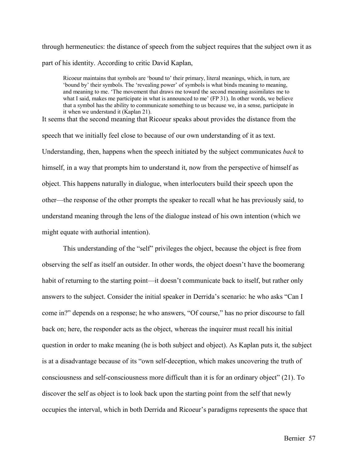through hermeneutics: the distance of speech from the subject requires that the subject own it as part of his identity. According to critic David Kaplan,

Ricoeur maintains that symbols are 'bound to' their primary, literal meanings, which, in turn, are 'bound by' their symbols. The 'revealing power' of symbols is what binds meaning to meaning, and meaning to me. 'The movement that draws me toward the second meaning assimilates me to what I said, makes me participate in what is announced to me' (FP 31). In other words, we believe that a symbol has the ability to communicate something to us because we, in a sense, participate in it when we understand it (Kaplan 21).

It seems that the second meaning that Ricoeur speaks about provides the distance from the speech that we initially feel close to because of our own understanding of it as text. Understanding, then, happens when the speech initiated by the subject communicates *back* to himself, in a way that prompts him to understand it, now from the perspective of himself as object. This happens naturally in dialogue, when interlocuters build their speech upon the other—the response of the other prompts the speaker to recall what he has previously said, to understand meaning through the lens of the dialogue instead of his own intention (which we might equate with authorial intention).

This understanding of the "self" privileges the object, because the object is free from observing the self as itself an outsider. In other words, the object doesn't have the boomerang habit of returning to the starting point—it doesn't communicate back to itself, but rather only answers to the subject. Consider the initial speaker in Derrida's scenario: he who asks "Can I come in?" depends on a response; he who answers, "Of course," has no prior discourse to fall back on; here, the responder acts as the object, whereas the inquirer must recall his initial question in order to make meaning (he is both subject and object). As Kaplan puts it, the subject is at a disadvantage because of its "own self-deception, which makes uncovering the truth of consciousness and self-consciousness more difficult than it is for an ordinary object" (21). To discover the self as object is to look back upon the starting point from the self that newly occupies the interval, which in both Derrida and Ricoeur's paradigms represents the space that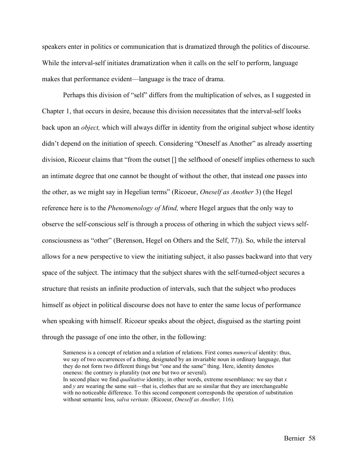speakers enter in politics or communication that is dramatized through the politics of discourse. While the interval-self initiates dramatization when it calls on the self to perform, language makes that performance evident—language is the trace of drama.

Perhaps this division of "self" differs from the multiplication of selves, as I suggested in Chapter 1, that occurs in desire, because this division necessitates that the interval-self looks back upon an *object,* which will always differ in identity from the original subject whose identity didn't depend on the initiation of speech. Considering "Oneself as Another" as already asserting division, Ricoeur claims that "from the outset [] the selfhood of oneself implies otherness to such an intimate degree that one cannot be thought of without the other, that instead one passes into the other, as we might say in Hegelian terms" (Ricoeur, *Oneself as Another* 3) (the Hegel reference here is to the *Phenomenology of Mind,* where Hegel argues that the only way to observe the self-conscious self is through a process of othering in which the subject views selfconsciousness as "other" (Berenson, Hegel on Others and the Self, 77)). So, while the interval allows for a new perspective to view the initiating subject, it also passes backward into that very space of the subject. The intimacy that the subject shares with the self-turned-object secures a structure that resists an infinite production of intervals, such that the subject who produces himself as object in political discourse does not have to enter the same locus of performance when speaking with himself. Ricoeur speaks about the object, disguised as the starting point through the passage of one into the other, in the following:

Sameness is a concept of relation and a relation of relations. First comes *numerical* identity: thus, we say of two occurrences of a thing, designated by an invariable noun in ordinary language, that they do not form two different things but "one and the same" thing. Here, identity denotes oneness: the contrary is plurality (not one but two or several). In second place we find *qualitative* identity, in other words, extreme resemblance: we say that *x* and *y* are wearing the same suit––that is, clothes that are so similar that they are interchangeable with no noticeable difference. To this second component corresponds the operation of substitution without semantic loss, *salva veritate.* (Ricoeur, *Oneself as Another,* 116).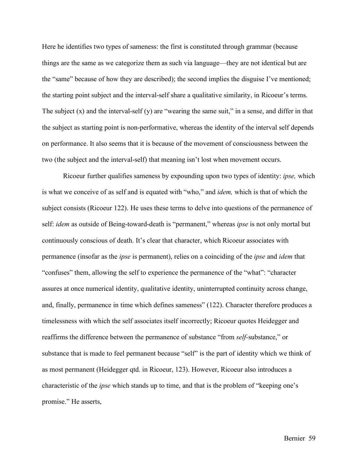Here he identifies two types of sameness: the first is constituted through grammar (because things are the same as we categorize them as such via language––they are not identical but are the "same" because of how they are described); the second implies the disguise I've mentioned; the starting point subject and the interval-self share a qualitative similarity, in Ricoeur's terms. The subject  $(x)$  and the interval-self  $(y)$  are "wearing the same suit," in a sense, and differ in that the subject as starting point is non-performative, whereas the identity of the interval self depends on performance. It also seems that it is because of the movement of consciousness between the two (the subject and the interval-self) that meaning isn't lost when movement occurs.

Ricoeur further qualifies sameness by expounding upon two types of identity: *ipse,* which is what we conceive of as self and is equated with "who," and *idem,* which is that of which the subject consists (Ricoeur 122). He uses these terms to delve into questions of the permanence of self: *idem* as outside of Being-toward-death is "permanent," whereas *ipse* is not only mortal but continuously conscious of death. It's clear that character, which Ricoeur associates with permanence (insofar as the *ipse* is permanent), relies on a coinciding of the *ipse* and *idem* that "confuses" them, allowing the self to experience the permanence of the "what": "character assures at once numerical identity, qualitative identity, uninterrupted continuity across change, and, finally, permanence in time which defines sameness" (122). Character therefore produces a timelessness with which the self associates itself incorrectly; Ricoeur quotes Heidegger and reaffirms the difference between the permanence of substance "from *self-*substance," or substance that is made to feel permanent because "self" is the part of identity which we think of as most permanent (Heidegger qtd. in Ricoeur, 123). However, Ricoeur also introduces a characteristic of the *ipse* which stands up to time, and that is the problem of "keeping one's promise." He asserts,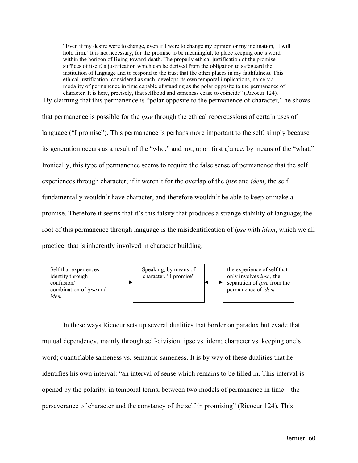"Even if my desire were to change, even if I were to change my opinion or my inclination, 'I will hold firm.' It is not necessary, for the promise to be meaningful, to place keeping one's word within the horizon of Being-toward-death. The properly ethical justification of the promise suffices of itself, a justification which can be derived from the obligation to safeguard the institution of language and to respond to the trust that the other places in my faithfulness. This ethical justification, considered as such, develops its own temporal implications, namely a modality of permanence in time capable of standing as the polar opposite to the permanence of character. It is here, precisely, that selfhood and sameness cease to coincide" (Ricoeur 124). By claiming that this permanence is "polar opposite to the permanence of character." he shows

that permanence is possible for the *ipse* through the ethical repercussions of certain uses of language ("I promise"). This permanence is perhaps more important to the self, simply because its generation occurs as a result of the "who," and not, upon first glance, by means of the "what." Ironically, this type of permanence seems to require the false sense of permanence that the self experiences through character; if it weren't for the overlap of the *ipse* and *idem*, the self fundamentally wouldn't have character, and therefore wouldn't be able to keep or make a promise. Therefore it seems that it's this falsity that produces a strange stability of language; the root of this permanence through language is the misidentification of *ipse* with *idem*, which we all practice, that is inherently involved in character building.



In these ways Ricoeur sets up several dualities that border on paradox but evade that mutual dependency, mainly through self-division: ipse vs. idem; character vs. keeping one's word; quantifiable sameness vs. semantic sameness. It is by way of these dualities that he identifies his own interval: "an interval of sense which remains to be filled in. This interval is opened by the polarity, in temporal terms, between two models of permanence in time––the perseverance of character and the constancy of the self in promising" (Ricoeur 124). This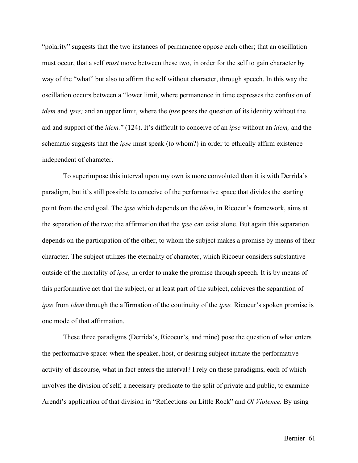"polarity" suggests that the two instances of permanence oppose each other; that an oscillation must occur, that a self *must* move between these two, in order for the self to gain character by way of the "what" but also to affirm the self without character, through speech. In this way the oscillation occurs between a "lower limit, where permanence in time expresses the confusion of *idem* and *ipse;* and an upper limit, where the *ipse* poses the question of its identity without the aid and support of the *idem.*" (124). It's difficult to conceive of an *ipse* without an *idem,* and the schematic suggests that the *ipse* must speak (to whom?) in order to ethically affirm existence independent of character.

To superimpose this interval upon my own is more convoluted than it is with Derrida's paradigm, but it's still possible to conceive of the performative space that divides the starting point from the end goal. The *ipse* which depends on the *idem*, in Ricoeur's framework, aims at the separation of the two: the affirmation that the *ipse* can exist alone. But again this separation depends on the participation of the other, to whom the subject makes a promise by means of their character. The subject utilizes the eternality of character, which Ricoeur considers substantive outside of the mortality of *ipse,* in order to make the promise through speech. It is by means of this performative act that the subject, or at least part of the subject, achieves the separation of *ipse* from *idem* through the affirmation of the continuity of the *ipse.* Ricoeur's spoken promise is one mode of that affirmation.

These three paradigms (Derrida's, Ricoeur's, and mine) pose the question of what enters the performative space: when the speaker, host, or desiring subject initiate the performative activity of discourse, what in fact enters the interval? I rely on these paradigms, each of which involves the division of self, a necessary predicate to the split of private and public, to examine Arendt's application of that division in "Reflections on Little Rock" and *Of Violence.* By using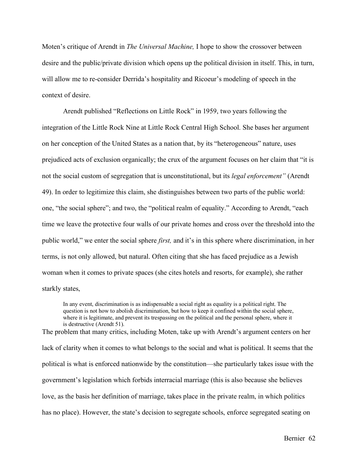Moten's critique of Arendt in *The Universal Machine,* I hope to show the crossover between desire and the public/private division which opens up the political division in itself. This, in turn, will allow me to re-consider Derrida's hospitality and Ricoeur's modeling of speech in the context of desire.

Arendt published "Reflections on Little Rock" in 1959, two years following the integration of the Little Rock Nine at Little Rock Central High School. She bases her argument on her conception of the United States as a nation that, by its "heterogeneous" nature, uses prejudiced acts of exclusion organically; the crux of the argument focuses on her claim that "it is not the social custom of segregation that is unconstitutional, but its *legal enforcement"* (Arendt 49). In order to legitimize this claim, she distinguishes between two parts of the public world: one, "the social sphere"; and two, the "political realm of equality." According to Arendt, "each time we leave the protective four walls of our private homes and cross over the threshold into the public world," we enter the social sphere *first,* and it's in this sphere where discrimination, in her terms, is not only allowed, but natural. Often citing that she has faced prejudice as a Jewish woman when it comes to private spaces (she cites hotels and resorts, for example), she rather starkly states,

In any event, discrimination is as indispensable a social right as equality is a political right. The question is not how to abolish discrimination, but how to keep it confined within the social sphere, where it is legitimate, and prevent its trespassing on the political and the personal sphere, where it is destructive (Arendt 51). The problem that many critics, including Moten, take up with Arendt's argument centers on her

lack of clarity when it comes to what belongs to the social and what is political. It seems that the political is what is enforced nationwide by the constitution––she particularly takes issue with the government's legislation which forbids interracial marriage (this is also because she believes love, as the basis her definition of marriage, takes place in the private realm, in which politics has no place). However, the state's decision to segregate schools, enforce segregated seating on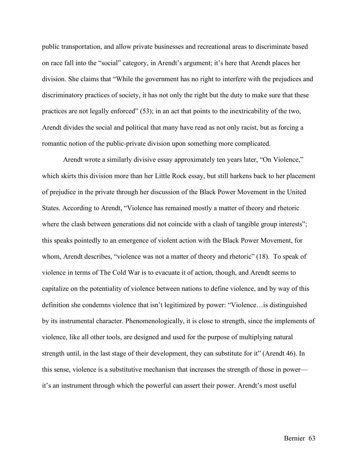public transportation, and allow private businesses and recreational areas to discriminate based on race fall into the "social" category, in Arendt's argument; it's here that Arendt places her division. She claims that "While the government has no right to interfere with the prejudices and discriminatory practices of society, it has not only the right but the duty to make sure that these practices are not legally enforced" (53); in an act that points to the inextricability of the two, Arendt divides the social and political that many have read as not only racist, but as forcing a romantic notion of the public-private division upon something more complicated.

Arendt wrote a similarly divisive essay approximately ten years later, "On Violence," which skirts this division more than her Little Rock essay, but still harkens back to her placement of prejudice in the private through her discussion of the Black Power Movement in the United States. According to Arendt, "Violence has remained mostly a matter of theory and rhetoric where the clash between generations did not coincide with a clash of tangible group interests"; this speaks pointedly to an emergence of violent action with the Black Power Movement, for whom, Arendt describes, "violence was not a matter of theory and rhetoric" (18). To speak of violence in terms of The Cold War is to evacuate it of action, though, and Arendt seems to capitalize on the potentiality of violence between nations to define violence, and by way of this definition she condemns violence that isn't legitimized by power: "Violence…is distinguished by its instrumental character. Phenomenologically, it is close to strength, since the implements of violence, like all other tools, are designed and used for the purpose of multiplying natural strength until, in the last stage of their development, they can substitute for it" (Arendt 46). In this sense, violence is a substitutive mechanism that increases the strength of those in power–– it's an instrument through which the powerful can assert their power. Arendt's most useful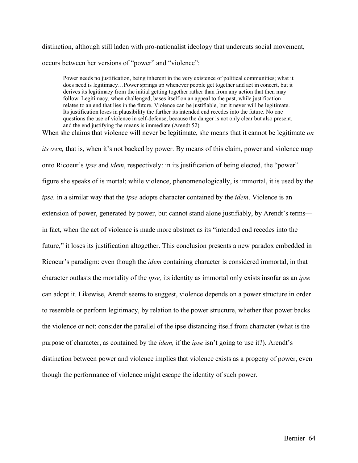distinction, although still laden with pro-nationalist ideology that undercuts social movement, occurs between her versions of "power" and "violence":

Power needs no justification, being inherent in the very existence of political communities; what it does need is legitimacy…Power springs up whenever people get together and act in concert, but it derives its legitimacy from the initial getting together rather than from any action that then may follow. Legitimacy, when challenged, bases itself on an appeal to the past, while justification relates to an end that lies in the future. Violence can be justifiable, but it never will be legitimate. Its justification loses in plausibility the farther its intended end recedes into the future. No one questions the use of violence in self-defense, because the danger is not only clear but also present, and the end justifying the means is immediate (Arendt 52).

When she claims that violence will never be legitimate, she means that it cannot be legitimate *on its own,* that is, when it's not backed by power. By means of this claim, power and violence map onto Ricoeur's *ipse* and *idem*, respectively: in its justification of being elected, the "power" figure she speaks of is mortal; while violence, phenomenologically, is immortal, it is used by the *ipse,* in a similar way that the *ipse* adopts character contained by the *idem*. Violence is an extension of power, generated by power, but cannot stand alone justifiably, by Arendt's terms–– in fact, when the act of violence is made more abstract as its "intended end recedes into the future," it loses its justification altogether. This conclusion presents a new paradox embedded in Ricoeur's paradigm: even though the *idem* containing character is considered immortal, in that character outlasts the mortality of the *ipse,* its identity as immortal only exists insofar as an *ipse*  can adopt it. Likewise, Arendt seems to suggest, violence depends on a power structure in order to resemble or perform legitimacy, by relation to the power structure, whether that power backs the violence or not; consider the parallel of the ipse distancing itself from character (what is the purpose of character, as contained by the *idem,* if the *ipse* isn't going to use it?). Arendt's distinction between power and violence implies that violence exists as a progeny of power, even though the performance of violence might escape the identity of such power.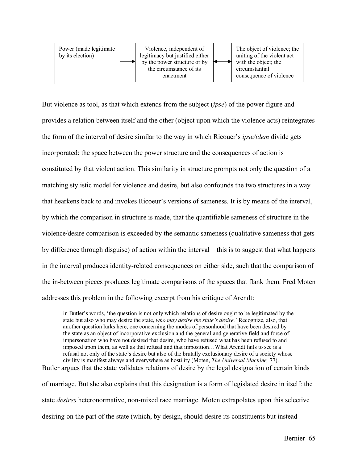

But violence as tool, as that which extends from the subject (*ipse*) of the power figure and provides a relation between itself and the other (object upon which the violence acts) reintegrates the form of the interval of desire similar to the way in which Ricouer's *ipse/idem* divide gets incorporated: the space between the power structure and the consequences of action is constituted by that violent action. This similarity in structure prompts not only the question of a matching stylistic model for violence and desire, but also confounds the two structures in a way that hearkens back to and invokes Ricoeur's versions of sameness. It is by means of the interval, by which the comparison in structure is made, that the quantifiable sameness of structure in the violence/desire comparison is exceeded by the semantic sameness (qualitative sameness that gets by difference through disguise) of action within the interval––this is to suggest that what happens in the interval produces identity-related consequences on either side, such that the comparison of the in-between pieces produces legitimate comparisons of the spaces that flank them. Fred Moten addresses this problem in the following excerpt from his critique of Arendt:

in Butler's words, 'the question is not only which relations of desire ought to be legitimated by the state but also who may desire the state, *who may desire the state's desire.'* Recognize, also, that another question lurks here, one concerning the modes of personhood that have been desired by the state as an object of incorporative exclusion and the general and generative field and force of impersonation who have not desired that desire, who have refused what has been refused to and imposed upon them, as well as that refusal and that imposition…What Arendt fails to see is a refusal not only of the state's desire but also of the brutally exclusionary desire of a society whose civility is manifest always and everywhere as hostility (Moten, *The Universal Machine,* 77). Butler argues that the state validates relations of desire by the legal designation of certain kinds

of marriage. But she also explains that this designation is a form of legislated desire in itself: the state *desires* heteronormative, non-mixed race marriage. Moten extrapolates upon this selective desiring on the part of the state (which, by design, should desire its constituents but instead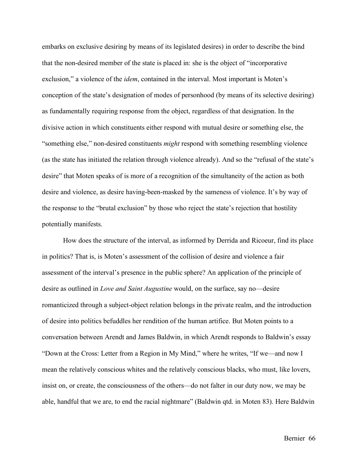embarks on exclusive desiring by means of its legislated desires) in order to describe the bind that the non-desired member of the state is placed in: she is the object of "incorporative exclusion," a violence of the *idem*, contained in the interval. Most important is Moten's conception of the state's designation of modes of personhood (by means of its selective desiring) as fundamentally requiring response from the object, regardless of that designation. In the divisive action in which constituents either respond with mutual desire or something else, the "something else," non-desired constituents *might* respond with something resembling violence (as the state has initiated the relation through violence already). And so the "refusal of the state's desire" that Moten speaks of is more of a recognition of the simultaneity of the action as both desire and violence, as desire having-been-masked by the sameness of violence. It's by way of the response to the "brutal exclusion" by those who reject the state's rejection that hostility potentially manifests.

How does the structure of the interval, as informed by Derrida and Ricoeur, find its place in politics? That is, is Moten's assessment of the collision of desire and violence a fair assessment of the interval's presence in the public sphere? An application of the principle of desire as outlined in *Love and Saint Augustine* would, on the surface, say no––desire romanticized through a subject-object relation belongs in the private realm, and the introduction of desire into politics befuddles her rendition of the human artifice. But Moten points to a conversation between Arendt and James Baldwin, in which Arendt responds to Baldwin's essay "Down at the Cross: Letter from a Region in My Mind," where he writes, "If we––and now I mean the relatively conscious whites and the relatively conscious blacks, who must, like lovers, insist on, or create, the consciousness of the others––do not falter in our duty now, we may be able, handful that we are, to end the racial nightmare" (Baldwin qtd. in Moten 83). Here Baldwin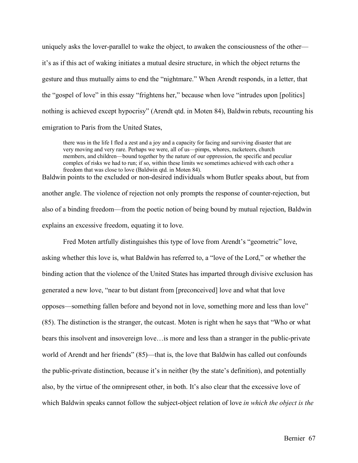uniquely asks the lover-parallel to wake the object, to awaken the consciousness of the other it's as if this act of waking initiates a mutual desire structure, in which the object returns the gesture and thus mutually aims to end the "nightmare." When Arendt responds, in a letter, that the "gospel of love" in this essay "frightens her," because when love "intrudes upon [politics] nothing is achieved except hypocrisy" (Arendt qtd. in Moten 84), Baldwin rebuts, recounting his emigration to Paris from the United States,

there was in the life I fled a zest and a joy and a capacity for facing and surviving disaster that are very moving and very rare. Perhaps we were, all of us––pimps, whores, racketeers, church members, and children––bound together by the nature of our oppression, the specific and peculiar complex of risks we had to run; if so, within these limits we sometimes achieved with each other a freedom that was close to love (Baldwin qtd. in Moten 84). Baldwin points to the excluded or non-desired individuals whom Butler speaks about, but from

another angle. The violence of rejection not only prompts the response of counter-rejection, but also of a binding freedom––from the poetic notion of being bound by mutual rejection, Baldwin explains an excessive freedom, equating it to love.

Fred Moten artfully distinguishes this type of love from Arendt's "geometric" love, asking whether this love is, what Baldwin has referred to, a "love of the Lord," or whether the binding action that the violence of the United States has imparted through divisive exclusion has generated a new love, "near to but distant from [preconceived] love and what that love opposes—something fallen before and beyond not in love, something more and less than love" (85). The distinction is the stranger, the outcast. Moten is right when he says that "Who or what bears this insolvent and insovereign love…is more and less than a stranger in the public-private world of Arendt and her friends" (85)—that is, the love that Baldwin has called out confounds the public-private distinction, because it's in neither (by the state's definition), and potentially also, by the virtue of the omnipresent other, in both. It's also clear that the excessive love of which Baldwin speaks cannot follow the subject-object relation of love *in which the object is the*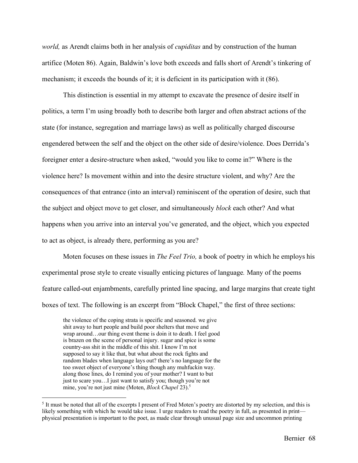*world,* as Arendt claims both in her analysis of *cupiditas* and by construction of the human artifice (Moten 86). Again, Baldwin's love both exceeds and falls short of Arendt's tinkering of mechanism; it exceeds the bounds of it; it is deficient in its participation with it (86).

This distinction is essential in my attempt to excavate the presence of desire itself in politics, a term I'm using broadly both to describe both larger and often abstract actions of the state (for instance, segregation and marriage laws) as well as politically charged discourse engendered between the self and the object on the other side of desire/violence. Does Derrida's foreigner enter a desire-structure when asked, "would you like to come in?" Where is the violence here? Is movement within and into the desire structure violent, and why? Are the consequences of that entrance (into an interval) reminiscent of the operation of desire, such that the subject and object move to get closer, and simultaneously *block* each other? And what happens when you arrive into an interval you've generated, and the object, which you expected to act as object, is already there, performing as you are?

Moten focuses on these issues in *The Feel Trio,* a book of poetry in which he employs his experimental prose style to create visually enticing pictures of language*.* Many of the poems feature called-out enjambments, carefully printed line spacing, and large margins that create tight boxes of text. The following is an excerpt from "Block Chapel," the first of three sections:

the violence of the coping strata is specific and seasoned. we give shit away to hurt people and build poor shelters that move and wrap around…our thing event theme is doin it to death. I feel good is brazen on the scene of personal injury. sugar and spice is some country-ass shit in the middle of this shit. I know I'm not supposed to say it like that, but what about the rock fights and random blades when language lays out? there's no language for the too sweet object of everyone's thing though any muhfuckin way. along those lines, do I remind you of your mother? I want to but just to scare you…I just want to satisfy you; though you're not mine, you're not just mine (Moten, *Block Chapel* 23).5

 <sup>5</sup> It must be noted that all of the excerpts I present of Fred Moten's poetry are distorted by my selection, and this is likely something with which he would take issue. I urge readers to read the poetry in full, as presented in print physical presentation is important to the poet, as made clear through unusual page size and uncommon printing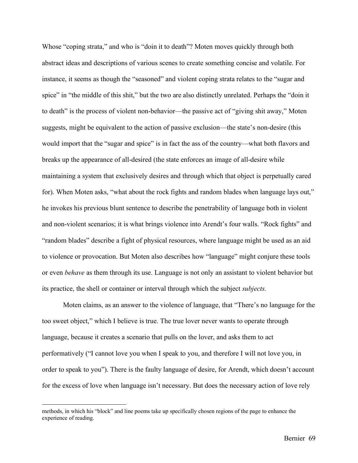Whose "coping strata," and who is "doin it to death"? Moten moves quickly through both abstract ideas and descriptions of various scenes to create something concise and volatile. For instance, it seems as though the "seasoned" and violent coping strata relates to the "sugar and spice" in "the middle of this shit," but the two are also distinctly unrelated. Perhaps the "doin it to death" is the process of violent non-behavior––the passive act of "giving shit away," Moten suggests, might be equivalent to the action of passive exclusion––the state's non-desire (this would import that the "sugar and spice" is in fact the ass of the country––what both flavors and breaks up the appearance of all-desired (the state enforces an image of all-desire while maintaining a system that exclusively desires and through which that object is perpetually cared for). When Moten asks, "what about the rock fights and random blades when language lays out," he invokes his previous blunt sentence to describe the penetrability of language both in violent and non-violent scenarios; it is what brings violence into Arendt's four walls. "Rock fights" and "random blades" describe a fight of physical resources, where language might be used as an aid to violence or provocation. But Moten also describes how "language" might conjure these tools or even *behave* as them through its use. Language is not only an assistant to violent behavior but its practice, the shell or container or interval through which the subject *subjects.* 

Moten claims, as an answer to the violence of language, that "There's no language for the too sweet object," which I believe is true. The true lover never wants to operate through language, because it creates a scenario that pulls on the lover, and asks them to act performatively ("I cannot love you when I speak to you, and therefore I will not love you, in order to speak to you"). There is the faulty language of desire, for Arendt, which doesn't account for the excess of love when language isn't necessary. But does the necessary action of love rely

methods, in which his "block" and line poems take up specifically chosen regions of the page to enhance the experience of reading.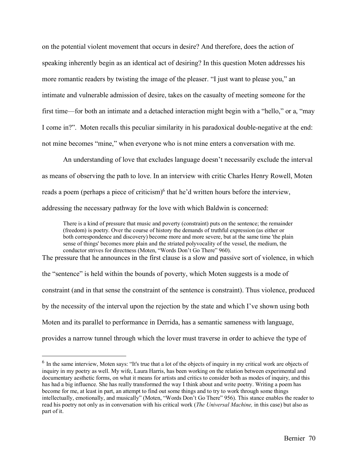on the potential violent movement that occurs in desire? And therefore, does the action of speaking inherently begin as an identical act of desiring? In this question Moten addresses his more romantic readers by twisting the image of the pleaser. "I just want to please you," an intimate and vulnerable admission of desire, takes on the casualty of meeting someone for the first time––for both an intimate and a detached interaction might begin with a "hello," or a, "may I come in?". Moten recalls this peculiar similarity in his paradoxical double-negative at the end: not mine becomes "mine," when everyone who is not mine enters a conversation with me.

An understanding of love that excludes language doesn't necessarily exclude the interval as means of observing the path to love. In an interview with critic Charles Henry Rowell, Moten reads a poem (perhaps a piece of criticism)<sup>6</sup> that he'd written hours before the interview, addressing the necessary pathway for the love with which Baldwin is concerned:

There is a kind of pressure that music and poverty (constraint) puts on the sentence; the remainder (freedom) is poetry. Over the course of history the demands of truthful expression (as either or both correspondence and discovery) become more and more severe, but at the same time 'the plain sense of things' becomes more plain and the striated polyvocality of the vessel, the medium, the conductor strives for directness (Moten, "Words Don't Go There" 960).

The pressure that he announces in the first clause is a slow and passive sort of violence, in which the "sentence" is held within the bounds of poverty, which Moten suggests is a mode of constraint (and in that sense the constraint of the sentence is constraint). Thus violence, produced by the necessity of the interval upon the rejection by the state and which I've shown using both Moten and its parallel to performance in Derrida, has a semantic sameness with language, provides a narrow tunnel through which the lover must traverse in order to achieve the type of

<sup>&</sup>lt;sup>6</sup> In the same interview, Moten says: "It's true that a lot of the objects of inquiry in my critical work are objects of inquiry in my poetry as well. My wife, Laura Harris, has been working on the relation between experimental and documentary aesthetic forms, on what it means for artists and critics to consider both as modes of inquiry, and this has had a big influence. She has really transformed the way I think about and write poetry. Writing a poem has become for me, at least in part, an attempt to find out some things and to try to work through some things intellectually, emotionally, and musically" (Moten, "Words Don't Go There" 956). This stance enables the reader to read his poetry not only as in conversation with his critical work (*The Universal Machine,* in this case) but also as part of it.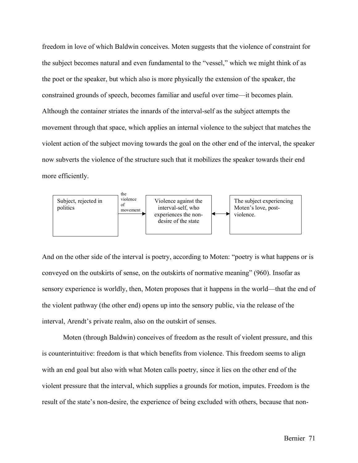freedom in love of which Baldwin conceives. Moten suggests that the violence of constraint for the subject becomes natural and even fundamental to the "vessel," which we might think of as the poet or the speaker, but which also is more physically the extension of the speaker, the constrained grounds of speech, becomes familiar and useful over time––it becomes plain. Although the container striates the innards of the interval-self as the subject attempts the movement through that space, which applies an internal violence to the subject that matches the violent action of the subject moving towards the goal on the other end of the interval, the speaker now subverts the violence of the structure such that it mobilizes the speaker towards their end more efficiently.



And on the other side of the interval is poetry, according to Moten: "poetry is what happens or is conveyed on the outskirts of sense, on the outskirts of normative meaning" (960). Insofar as sensory experience is worldly, then, Moten proposes that it happens in the world––that the end of the violent pathway (the other end) opens up into the sensory public, via the release of the interval, Arendt's private realm, also on the outskirt of senses.

Moten (through Baldwin) conceives of freedom as the result of violent pressure, and this is counterintuitive: freedom is that which benefits from violence. This freedom seems to align with an end goal but also with what Moten calls poetry, since it lies on the other end of the violent pressure that the interval, which supplies a grounds for motion, imputes. Freedom is the result of the state's non-desire, the experience of being excluded with others, because that non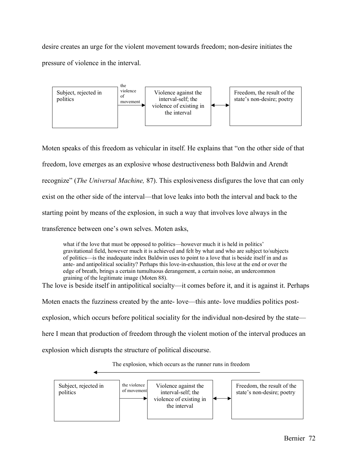desire creates an urge for the violent movement towards freedom; non-desire initiates the pressure of violence in the interval.



Moten speaks of this freedom as vehicular in itself. He explains that "on the other side of that freedom, love emerges as an explosive whose destructiveness both Baldwin and Arendt recognize" (*The Universal Machine,* 87). This explosiveness disfigures the love that can only exist on the other side of the interval––that love leaks into both the interval and back to the starting point by means of the explosion, in such a way that involves love always in the transference between one's own selves. Moten asks,

what if the love that must be opposed to politics—however much it is held in politics' gravitational field, however much it is achieved and felt by what and who are subject to/subjects of politics––is the inadequate index Baldwin uses to point to a love that is beside itself in and as ante- and antipolitical sociality? Perhaps this love-in-exhaustion, this love at the end or over the edge of breath, brings a certain tumultuous derangement, a certain noise, an undercommon graining of the legitimate image (Moten 88).

The love is beside itself in antipolitical socialty—it comes before it, and it is against it. Perhaps

Moten enacts the fuzziness created by the ante- love—this ante- love muddies politics post-

explosion, which occurs before political sociality for the individual non-desired by the state—

here I mean that production of freedom through the violent motion of the interval produces an

explosion which disrupts the structure of political discourse.



The explosion, which occurs as the runner runs in freedom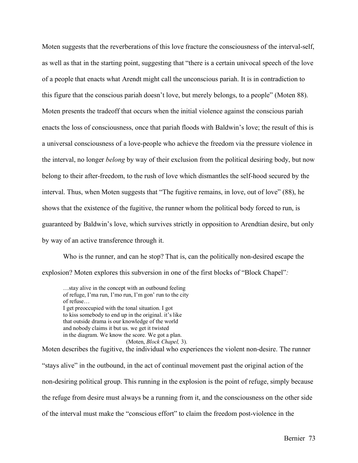Moten suggests that the reverberations of this love fracture the consciousness of the interval-self, as well as that in the starting point, suggesting that "there is a certain univocal speech of the love of a people that enacts what Arendt might call the unconscious pariah. It is in contradiction to this figure that the conscious pariah doesn't love, but merely belongs, to a people" (Moten 88). Moten presents the tradeoff that occurs when the initial violence against the conscious pariah enacts the loss of consciousness, once that pariah floods with Baldwin's love; the result of this is a universal consciousness of a love-people who achieve the freedom via the pressure violence in the interval, no longer *belong* by way of their exclusion from the political desiring body, but now belong to their after-freedom, to the rush of love which dismantles the self-hood secured by the interval. Thus, when Moten suggests that "The fugitive remains, in love, out of love" (88), he shows that the existence of the fugitive, the runner whom the political body forced to run, is guaranteed by Baldwin's love, which survives strictly in opposition to Arendtian desire, but only by way of an active transference through it.

Who is the runner, and can he stop? That is, can the politically non-desired escape the explosion? Moten explores this subversion in one of the first blocks of "Block Chapel"*:*

…stay alive in the concept with an outbound feeling of refuge, I'ma run, I'mo run, I'm gon' run to the city of refuse… I get preoccupied with the tonal situation. I got to kiss somebody to end up in the original. it's like that outside drama is our knowledge of the world and nobody claims it but us. we get it twisted in the diagram. We know the score. We got a plan. (Moten, *Block Chapel,* 3).

Moten describes the fugitive, the individual who experiences the violent non-desire. The runner "stays alive" in the outbound, in the act of continual movement past the original action of the non-desiring political group. This running in the explosion is the point of refuge, simply because the refuge from desire must always be a running from it, and the consciousness on the other side of the interval must make the "conscious effort" to claim the freedom post-violence in the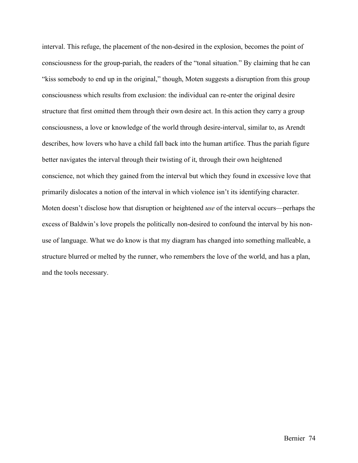interval. This refuge, the placement of the non-desired in the explosion, becomes the point of consciousness for the group-pariah, the readers of the "tonal situation." By claiming that he can "kiss somebody to end up in the original," though, Moten suggests a disruption from this group consciousness which results from exclusion: the individual can re-enter the original desire structure that first omitted them through their own desire act. In this action they carry a group consciousness, a love or knowledge of the world through desire-interval, similar to, as Arendt describes, how lovers who have a child fall back into the human artifice. Thus the pariah figure better navigates the interval through their twisting of it, through their own heightened conscience, not which they gained from the interval but which they found in excessive love that primarily dislocates a notion of the interval in which violence isn't its identifying character. Moten doesn't disclose how that disruption or heightened *use* of the interval occurs––perhaps the excess of Baldwin's love propels the politically non-desired to confound the interval by his nonuse of language. What we do know is that my diagram has changed into something malleable, a structure blurred or melted by the runner, who remembers the love of the world, and has a plan, and the tools necessary.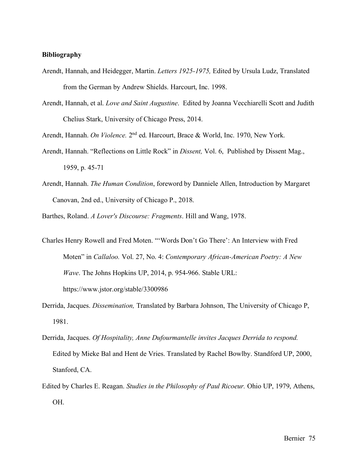## **Bibliography**

- Arendt, Hannah, and Heidegger, Martin. *Letters 1925-1975,* Edited by Ursula Ludz, Translated from the German by Andrew Shields. Harcourt, Inc. 1998.
- Arendt, Hannah, et al. *Love and Saint Augustine*. Edited by Joanna Vecchiarelli Scott and Judith Chelius Stark, University of Chicago Press, 2014.

Arendt, Hannah. *On Violence.* 2nd ed. Harcourt, Brace & World, Inc. 1970, New York.

- Arendt, Hannah. "Reflections on Little Rock" in *Dissent,* Vol. 6, Published by Dissent Mag., 1959, p. 45-71
- Arendt, Hannah. *The Human Condition*, foreword by Danniele Allen, Introduction by Margaret Canovan, 2nd ed., University of Chicago P., 2018.

Barthes, Roland. *A Lover's Discourse: Fragments*. Hill and Wang, 1978.

Charles Henry Rowell and Fred Moten. "'Words Don't Go There': An Interview with Fred Moten" in *Callaloo.* Vol. 27, No. 4: *Contemporary African-American Poetry: A New Wave*. The Johns Hopkins UP, 2014, p. 954-966. Stable URL:

https://www.jstor.org/stable/3300986

- Derrida, Jacques. *Dissemination,* Translated by Barbara Johnson, The University of Chicago P, 1981.
- Derrida, Jacques. *Of Hospitality, Anne Dufourmantelle invites Jacques Derrida to respond.*  Edited by Mieke Bal and Hent de Vries. Translated by Rachel Bowlby. Standford UP, 2000, Stanford, CA.
- Edited by Charles E. Reagan. *Studies in the Philosophy of Paul Ricoeur.* Ohio UP, 1979, Athens, OH.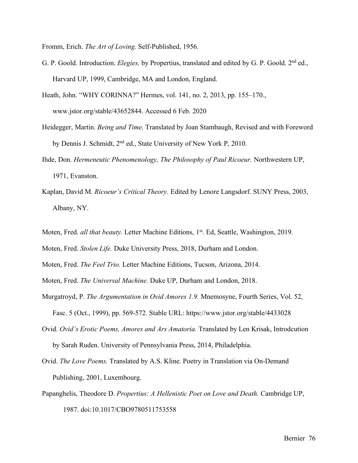Fromm, Erich. *The Art of Loving*. Self-Published, 1956.

- G. P. Goold. Introduction. *Elegies*, by Propertius, translated and edited by G. P. Goold. 2<sup>nd</sup> ed., Harvard UP, 1999, Cambridge, MA and London, England.
- Heath, John. "WHY CORINNA?" Hermes, vol. 141, no. 2, 2013, pp. 155–170., www.jstor.org/stable/43652844. Accessed 6 Feb. 2020
- Heidegger, Martin. *Being and Time,* Translated by Joan Stambaugh, Revised and with Foreword by Dennis J. Schmidt, 2<sup>nd</sup> ed., State University of New York P, 2010.
- Ihde, Don. *Hermeneutic Phenomenology, The Philosophy of Paul Ricoeur.* Northwestern UP, 1971, Evanston.
- Kaplan, David M. *Ricoeur's Critical Theory.* Edited by Lenore Langsdorf. SUNY Press, 2003, Albany, NY.
- Moten, Fred. *all that beauty*. Letter Machine Editions, 1<sup>st</sup>. Ed, Seattle, Washington, 2019.
- Moten, Fred. *Stolen Life.* Duke University Press, 2018, Durham and London.
- Moten, Fred. *The Feel Trio.* Letter Machine Editions, Tucson, Arizona, 2014.
- Moten, Fred. *The Universal Machine.* Duke UP, Durham and London, 2018.
- Murgatroyd, P. *The Argumentation in Ovid Amores 1.9.* Mnemosyne, Fourth Series, Vol. 52, Fasc. 5 (Oct., 1999), pp. 569-572. Stable URL: https://www.jstor.org/stable/4433028
- Ovid. *Ovid's Erotic Poems, Amores and Ars Amatoria.* Translated by Len Krisak, Introdcution by Sarah Ruden. University of Pennsylvania Press, 2014, Philadelphia.
- Ovid. *The Love Poems.* Translated by A.S. Kline. Poetry in Translation via On-Demand Publishing, 2001, Luxembourg.
- Papanghelis, Theodore D. *Propertius: A Hellenistic Poet on Love and Death.* Cambridge UP, 1987. doi:10.1017/CBO9780511753558